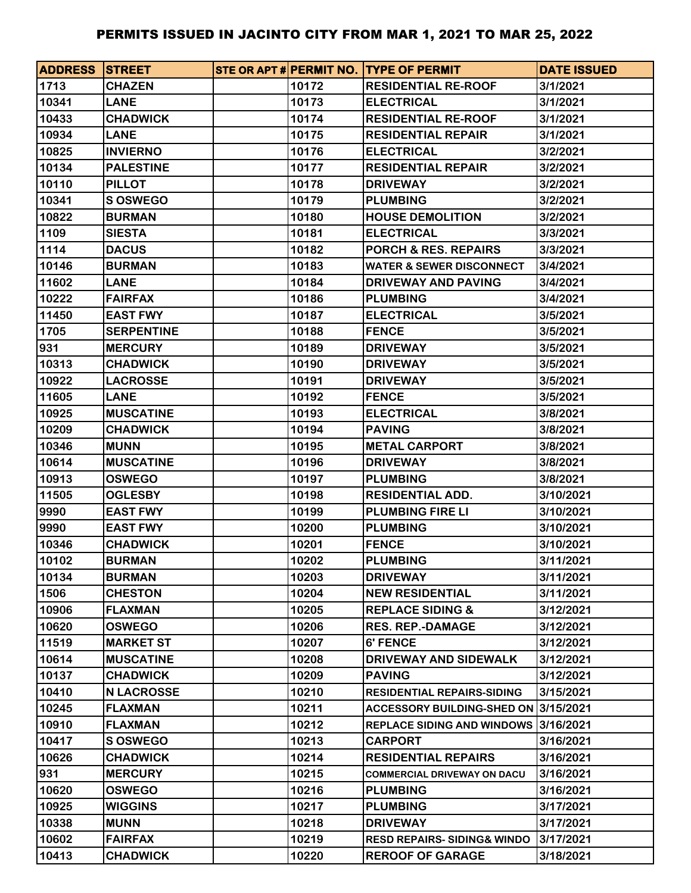| <b>ADDRESS STREET</b> |                   |       | STE OR APT # PERMIT NO. ITYPE OF PERMIT | <b>DATE ISSUED</b> |
|-----------------------|-------------------|-------|-----------------------------------------|--------------------|
| 1713                  | <b>CHAZEN</b>     | 10172 | <b>RESIDENTIAL RE-ROOF</b>              | 3/1/2021           |
| 10341                 | <b>LANE</b>       | 10173 | <b>ELECTRICAL</b>                       | 3/1/2021           |
| 10433                 | <b>CHADWICK</b>   | 10174 | <b>RESIDENTIAL RE-ROOF</b>              | 3/1/2021           |
| 10934                 | <b>LANE</b>       | 10175 | <b>RESIDENTIAL REPAIR</b>               | 3/1/2021           |
| 10825                 | <b>INVIERNO</b>   | 10176 | <b>ELECTRICAL</b>                       | 3/2/2021           |
| 10134                 | <b>PALESTINE</b>  | 10177 | <b>RESIDENTIAL REPAIR</b>               | 3/2/2021           |
| 10110                 | <b>PILLOT</b>     | 10178 | <b>DRIVEWAY</b>                         | 3/2/2021           |
| 10341                 | <b>S OSWEGO</b>   | 10179 | <b>PLUMBING</b>                         | 3/2/2021           |
| 10822                 | <b>BURMAN</b>     | 10180 | <b>HOUSE DEMOLITION</b>                 | 3/2/2021           |
| 1109                  | <b>SIESTA</b>     | 10181 | <b>ELECTRICAL</b>                       | 3/3/2021           |
| 1114                  | <b>DACUS</b>      | 10182 | <b>PORCH &amp; RES. REPAIRS</b>         | 3/3/2021           |
| 10146                 | <b>BURMAN</b>     | 10183 | <b>WATER &amp; SEWER DISCONNECT</b>     | 3/4/2021           |
| 11602                 | <b>LANE</b>       | 10184 | DRIVEWAY AND PAVING                     | 3/4/2021           |
| 10222                 | <b>FAIRFAX</b>    | 10186 | <b>PLUMBING</b>                         | 3/4/2021           |
| 11450                 | <b>EAST FWY</b>   | 10187 | <b>ELECTRICAL</b>                       | 3/5/2021           |
| 1705                  | <b>SERPENTINE</b> | 10188 | <b>FENCE</b>                            | 3/5/2021           |
| 931                   | <b>MERCURY</b>    | 10189 | <b>DRIVEWAY</b>                         | 3/5/2021           |
| 10313                 | <b>CHADWICK</b>   | 10190 | <b>DRIVEWAY</b>                         | 3/5/2021           |
| 10922                 | <b>LACROSSE</b>   | 10191 | <b>DRIVEWAY</b>                         | 3/5/2021           |
| 11605                 | <b>LANE</b>       | 10192 | <b>FENCE</b>                            | 3/5/2021           |
| 10925                 | <b>MUSCATINE</b>  | 10193 | <b>ELECTRICAL</b>                       | 3/8/2021           |
| 10209                 | <b>CHADWICK</b>   | 10194 | <b>PAVING</b>                           | 3/8/2021           |
| 10346                 | <b>MUNN</b>       | 10195 | <b>METAL CARPORT</b>                    | 3/8/2021           |
| 10614                 | <b>MUSCATINE</b>  | 10196 | <b>DRIVEWAY</b>                         | 3/8/2021           |
| 10913                 | <b>OSWEGO</b>     | 10197 | <b>PLUMBING</b>                         | 3/8/2021           |
| 11505                 | <b>OGLESBY</b>    | 10198 | <b>RESIDENTIAL ADD.</b>                 | 3/10/2021          |
| 9990                  | <b>EAST FWY</b>   | 10199 | <b>PLUMBING FIRE LI</b>                 | 3/10/2021          |
| 9990                  | <b>EAST FWY</b>   | 10200 | <b>PLUMBING</b>                         | 3/10/2021          |
| 10346                 | <b>CHADWICK</b>   | 10201 | <b>FENCE</b>                            | 3/10/2021          |
| 10102                 | <b>BURMAN</b>     | 10202 | <b>PLUMBING</b>                         | 3/11/2021          |
| 10134                 | <b>BURMAN</b>     | 10203 | <b>DRIVEWAY</b>                         | 3/11/2021          |
| 1506                  | <b>CHESTON</b>    | 10204 | <b>NEW RESIDENTIAL</b>                  | 3/11/2021          |
| 10906                 | <b>FLAXMAN</b>    | 10205 | <b>REPLACE SIDING &amp;</b>             | 3/12/2021          |
| 10620                 | <b>OSWEGO</b>     | 10206 | <b>RES. REP.-DAMAGE</b>                 | 3/12/2021          |
| 11519                 | <b>MARKET ST</b>  | 10207 | <b>6' FENCE</b>                         | 3/12/2021          |
| 10614                 | <b>MUSCATINE</b>  | 10208 | DRIVEWAY AND SIDEWALK                   | 3/12/2021          |
| 10137                 | <b>CHADWICK</b>   | 10209 | <b>PAVING</b>                           | 3/12/2021          |
| 10410                 | <b>N LACROSSE</b> | 10210 | <b>RESIDENTIAL REPAIRS-SIDING</b>       | 3/15/2021          |
| 10245                 | <b>FLAXMAN</b>    | 10211 | ACCESSORY BUILDING-SHED ON 3/15/2021    |                    |
| 10910                 | <b>FLAXMAN</b>    | 10212 | REPLACE SIDING AND WINDOWS 3/16/2021    |                    |
| 10417                 | S OSWEGO          | 10213 | <b>CARPORT</b>                          | 3/16/2021          |
| 10626                 | <b>CHADWICK</b>   | 10214 | <b>RESIDENTIAL REPAIRS</b>              | 3/16/2021          |
| 931                   | <b>MERCURY</b>    | 10215 | <b>COMMERCIAL DRIVEWAY ON DACU</b>      | 3/16/2021          |
| 10620                 | <b>OSWEGO</b>     | 10216 | <b>PLUMBING</b>                         | 3/16/2021          |
| 10925                 | <b>WIGGINS</b>    | 10217 | <b>PLUMBING</b>                         | 3/17/2021          |
| 10338                 | <b>MUNN</b>       | 10218 | <b>DRIVEWAY</b>                         | 3/17/2021          |
| 10602                 | <b>FAIRFAX</b>    | 10219 | <b>RESD REPAIRS-SIDING&amp; WINDO</b>   | 3/17/2021          |
| 10413                 | <b>CHADWICK</b>   | 10220 | <b>REROOF OF GARAGE</b>                 | 3/18/2021          |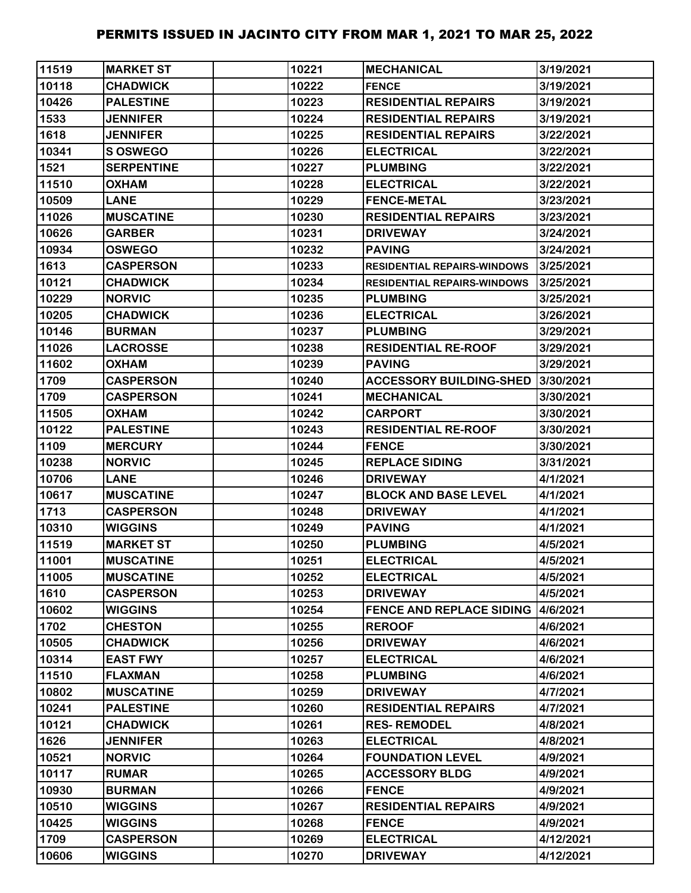| 11519 | <b>MARKET ST</b>  | 10221 | <b>MECHANICAL</b>                  | 3/19/2021 |
|-------|-------------------|-------|------------------------------------|-----------|
| 10118 | <b>CHADWICK</b>   | 10222 | <b>FENCE</b>                       | 3/19/2021 |
| 10426 | <b>PALESTINE</b>  | 10223 | <b>RESIDENTIAL REPAIRS</b>         | 3/19/2021 |
| 1533  | <b>JENNIFER</b>   | 10224 | <b>RESIDENTIAL REPAIRS</b>         | 3/19/2021 |
| 1618  | <b>JENNIFER</b>   | 10225 | <b>RESIDENTIAL REPAIRS</b>         | 3/22/2021 |
| 10341 | S OSWEGO          | 10226 | <b>ELECTRICAL</b>                  | 3/22/2021 |
| 1521  | <b>SERPENTINE</b> | 10227 | <b>PLUMBING</b>                    | 3/22/2021 |
| 11510 | <b>OXHAM</b>      | 10228 | <b>ELECTRICAL</b>                  | 3/22/2021 |
| 10509 | <b>LANE</b>       | 10229 | <b>FENCE-METAL</b>                 | 3/23/2021 |
| 11026 | <b>MUSCATINE</b>  | 10230 | <b>RESIDENTIAL REPAIRS</b>         | 3/23/2021 |
| 10626 | <b>GARBER</b>     | 10231 | <b>DRIVEWAY</b>                    | 3/24/2021 |
| 10934 | <b>OSWEGO</b>     | 10232 | <b>PAVING</b>                      | 3/24/2021 |
| 1613  | <b>CASPERSON</b>  | 10233 | <b>RESIDENTIAL REPAIRS-WINDOWS</b> | 3/25/2021 |
| 10121 | <b>CHADWICK</b>   | 10234 | <b>RESIDENTIAL REPAIRS-WINDOWS</b> | 3/25/2021 |
| 10229 | <b>NORVIC</b>     | 10235 | <b>PLUMBING</b>                    | 3/25/2021 |
| 10205 | <b>CHADWICK</b>   | 10236 | <b>ELECTRICAL</b>                  | 3/26/2021 |
| 10146 | <b>BURMAN</b>     | 10237 | <b>PLUMBING</b>                    | 3/29/2021 |
| 11026 | <b>LACROSSE</b>   | 10238 | <b>RESIDENTIAL RE-ROOF</b>         | 3/29/2021 |
| 11602 | <b>OXHAM</b>      | 10239 | <b>PAVING</b>                      | 3/29/2021 |
| 1709  | <b>CASPERSON</b>  | 10240 | <b>ACCESSORY BUILDING-SHED</b>     | 3/30/2021 |
| 1709  | <b>CASPERSON</b>  | 10241 | <b>MECHANICAL</b>                  | 3/30/2021 |
| 11505 | <b>OXHAM</b>      | 10242 | <b>CARPORT</b>                     | 3/30/2021 |
| 10122 | <b>PALESTINE</b>  | 10243 | <b>RESIDENTIAL RE-ROOF</b>         | 3/30/2021 |
| 1109  | <b>MERCURY</b>    | 10244 | <b>FENCE</b>                       | 3/30/2021 |
| 10238 | <b>NORVIC</b>     | 10245 | <b>REPLACE SIDING</b>              | 3/31/2021 |
| 10706 | <b>LANE</b>       | 10246 | <b>DRIVEWAY</b>                    | 4/1/2021  |
| 10617 | <b>MUSCATINE</b>  | 10247 | <b>BLOCK AND BASE LEVEL</b>        | 4/1/2021  |
| 1713  | <b>CASPERSON</b>  | 10248 | <b>DRIVEWAY</b>                    | 4/1/2021  |
| 10310 | <b>WIGGINS</b>    | 10249 | <b>PAVING</b>                      | 4/1/2021  |
| 11519 | <b>MARKET ST</b>  | 10250 | <b>PLUMBING</b>                    | 4/5/2021  |
| 11001 | <b>MUSCATINE</b>  | 10251 | <b>ELECTRICAL</b>                  | 4/5/2021  |
| 11005 | <b>MUSCATINE</b>  | 10252 | <b>ELECTRICAL</b>                  | 4/5/2021  |
| 1610  | <b>CASPERSON</b>  | 10253 | <b>DRIVEWAY</b>                    | 4/5/2021  |
| 10602 | <b>WIGGINS</b>    | 10254 | <b>FENCE AND REPLACE SIDING</b>    | 4/6/2021  |
| 1702  | <b>CHESTON</b>    | 10255 | <b>REROOF</b>                      | 4/6/2021  |
| 10505 | <b>CHADWICK</b>   | 10256 | <b>DRIVEWAY</b>                    | 4/6/2021  |
| 10314 | <b>EAST FWY</b>   | 10257 | <b>ELECTRICAL</b>                  | 4/6/2021  |
| 11510 | <b>FLAXMAN</b>    | 10258 | <b>PLUMBING</b>                    | 4/6/2021  |
| 10802 | <b>MUSCATINE</b>  | 10259 | <b>DRIVEWAY</b>                    | 4/7/2021  |
| 10241 | <b>PALESTINE</b>  | 10260 | <b>RESIDENTIAL REPAIRS</b>         | 4/7/2021  |
| 10121 | <b>CHADWICK</b>   | 10261 | <b>RES-REMODEL</b>                 | 4/8/2021  |
| 1626  | <b>JENNIFER</b>   | 10263 | <b>ELECTRICAL</b>                  | 4/8/2021  |
| 10521 | <b>NORVIC</b>     | 10264 | <b>FOUNDATION LEVEL</b>            | 4/9/2021  |
| 10117 | <b>RUMAR</b>      | 10265 | <b>ACCESSORY BLDG</b>              | 4/9/2021  |
| 10930 | <b>BURMAN</b>     | 10266 | <b>FENCE</b>                       | 4/9/2021  |
| 10510 | <b>WIGGINS</b>    | 10267 | <b>RESIDENTIAL REPAIRS</b>         | 4/9/2021  |
| 10425 | <b>WIGGINS</b>    | 10268 | <b>FENCE</b>                       | 4/9/2021  |
| 1709  | <b>CASPERSON</b>  | 10269 | <b>ELECTRICAL</b>                  | 4/12/2021 |
| 10606 | <b>WIGGINS</b>    | 10270 | <b>DRIVEWAY</b>                    | 4/12/2021 |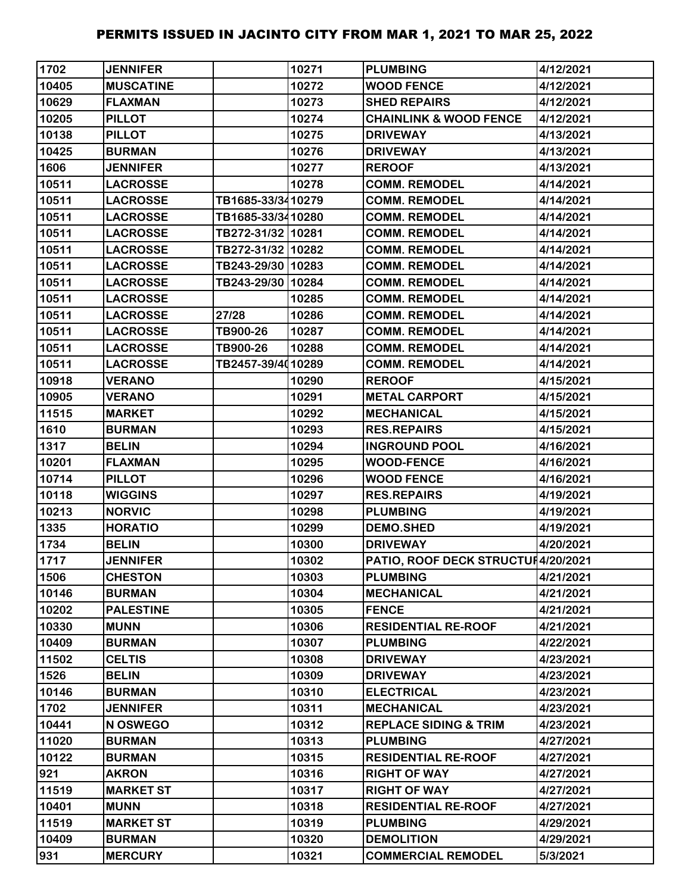| 1702  | <b>JENNIFER</b>  |                   | 10271 | <b>PLUMBING</b>                    | 4/12/2021 |
|-------|------------------|-------------------|-------|------------------------------------|-----------|
| 10405 | <b>MUSCATINE</b> |                   | 10272 | <b>WOOD FENCE</b>                  | 4/12/2021 |
| 10629 | <b>FLAXMAN</b>   |                   | 10273 | <b>SHED REPAIRS</b>                | 4/12/2021 |
| 10205 | <b>PILLOT</b>    |                   | 10274 | <b>CHAINLINK &amp; WOOD FENCE</b>  | 4/12/2021 |
| 10138 | <b>PILLOT</b>    |                   | 10275 | <b>DRIVEWAY</b>                    | 4/13/2021 |
| 10425 | <b>BURMAN</b>    |                   | 10276 | <b>DRIVEWAY</b>                    | 4/13/2021 |
| 1606  | <b>JENNIFER</b>  |                   | 10277 | <b>REROOF</b>                      | 4/13/2021 |
| 10511 | <b>LACROSSE</b>  |                   | 10278 | <b>COMM. REMODEL</b>               | 4/14/2021 |
| 10511 | <b>LACROSSE</b>  | TB1685-33/3410279 |       | <b>COMM. REMODEL</b>               | 4/14/2021 |
| 10511 | <b>LACROSSE</b>  | TB1685-33/3410280 |       | <b>COMM. REMODEL</b>               | 4/14/2021 |
| 10511 | <b>LACROSSE</b>  | TB272-31/32 10281 |       | <b>COMM. REMODEL</b>               | 4/14/2021 |
| 10511 | <b>LACROSSE</b>  | TB272-31/32 10282 |       | <b>COMM. REMODEL</b>               | 4/14/2021 |
| 10511 | <b>LACROSSE</b>  | TB243-29/30 10283 |       | <b>COMM. REMODEL</b>               | 4/14/2021 |
| 10511 | <b>LACROSSE</b>  | TB243-29/30 10284 |       | <b>COMM. REMODEL</b>               | 4/14/2021 |
| 10511 | <b>LACROSSE</b>  |                   | 10285 | <b>COMM. REMODEL</b>               | 4/14/2021 |
| 10511 | <b>LACROSSE</b>  | 27/28             | 10286 | <b>COMM. REMODEL</b>               | 4/14/2021 |
| 10511 | <b>LACROSSE</b>  | TB900-26          | 10287 | <b>COMM. REMODEL</b>               | 4/14/2021 |
| 10511 | <b>LACROSSE</b>  | TB900-26          | 10288 | <b>COMM. REMODEL</b>               | 4/14/2021 |
| 10511 | <b>LACROSSE</b>  | TB2457-39/4010289 |       | <b>COMM. REMODEL</b>               | 4/14/2021 |
| 10918 | <b>VERANO</b>    |                   | 10290 | <b>REROOF</b>                      | 4/15/2021 |
| 10905 | <b>VERANO</b>    |                   | 10291 | <b>METAL CARPORT</b>               | 4/15/2021 |
| 11515 | <b>MARKET</b>    |                   | 10292 | <b>MECHANICAL</b>                  | 4/15/2021 |
| 1610  | <b>BURMAN</b>    |                   | 10293 | <b>RES.REPAIRS</b>                 | 4/15/2021 |
| 1317  | <b>BELIN</b>     |                   | 10294 | <b>INGROUND POOL</b>               | 4/16/2021 |
| 10201 | <b>FLAXMAN</b>   |                   | 10295 | <b>WOOD-FENCE</b>                  | 4/16/2021 |
| 10714 | <b>PILLOT</b>    |                   | 10296 | <b>WOOD FENCE</b>                  | 4/16/2021 |
| 10118 | <b>WIGGINS</b>   |                   | 10297 | <b>RES.REPAIRS</b>                 | 4/19/2021 |
| 10213 | <b>NORVIC</b>    |                   | 10298 | <b>PLUMBING</b>                    | 4/19/2021 |
| 1335  | <b>HORATIO</b>   |                   | 10299 | <b>DEMO.SHED</b>                   | 4/19/2021 |
| 1734  | <b>BELIN</b>     |                   | 10300 | <b>DRIVEWAY</b>                    | 4/20/2021 |
| 1717  | <b>JENNIFER</b>  |                   | 10302 | PATIO, ROOF DECK STRUCTUI4/20/2021 |           |
| 1506  | <b>CHESTON</b>   |                   | 10303 | <b>PLUMBING</b>                    | 4/21/2021 |
| 10146 | <b>BURMAN</b>    |                   | 10304 | <b>MECHANICAL</b>                  | 4/21/2021 |
| 10202 | <b>PALESTINE</b> |                   | 10305 | <b>FENCE</b>                       | 4/21/2021 |
| 10330 | <b>MUNN</b>      |                   | 10306 | <b>RESIDENTIAL RE-ROOF</b>         | 4/21/2021 |
| 10409 | <b>BURMAN</b>    |                   | 10307 | <b>PLUMBING</b>                    | 4/22/2021 |
| 11502 | <b>CELTIS</b>    |                   | 10308 | <b>DRIVEWAY</b>                    | 4/23/2021 |
| 1526  | <b>BELIN</b>     |                   | 10309 | <b>DRIVEWAY</b>                    | 4/23/2021 |
| 10146 | <b>BURMAN</b>    |                   | 10310 | <b>ELECTRICAL</b>                  | 4/23/2021 |
| 1702  | <b>JENNIFER</b>  |                   | 10311 | <b>MECHANICAL</b>                  | 4/23/2021 |
| 10441 | N OSWEGO         |                   | 10312 | <b>REPLACE SIDING &amp; TRIM</b>   | 4/23/2021 |
| 11020 | <b>BURMAN</b>    |                   | 10313 | <b>PLUMBING</b>                    | 4/27/2021 |
| 10122 | <b>BURMAN</b>    |                   | 10315 | <b>RESIDENTIAL RE-ROOF</b>         | 4/27/2021 |
| 921   | <b>AKRON</b>     |                   | 10316 | <b>RIGHT OF WAY</b>                | 4/27/2021 |
| 11519 | <b>MARKET ST</b> |                   | 10317 | <b>RIGHT OF WAY</b>                | 4/27/2021 |
| 10401 | <b>MUNN</b>      |                   | 10318 | <b>RESIDENTIAL RE-ROOF</b>         | 4/27/2021 |
| 11519 | <b>MARKET ST</b> |                   | 10319 | <b>PLUMBING</b>                    | 4/29/2021 |
| 10409 | <b>BURMAN</b>    |                   | 10320 | <b>DEMOLITION</b>                  | 4/29/2021 |
| 931   | <b>MERCURY</b>   |                   | 10321 | <b>COMMERCIAL REMODEL</b>          | 5/3/2021  |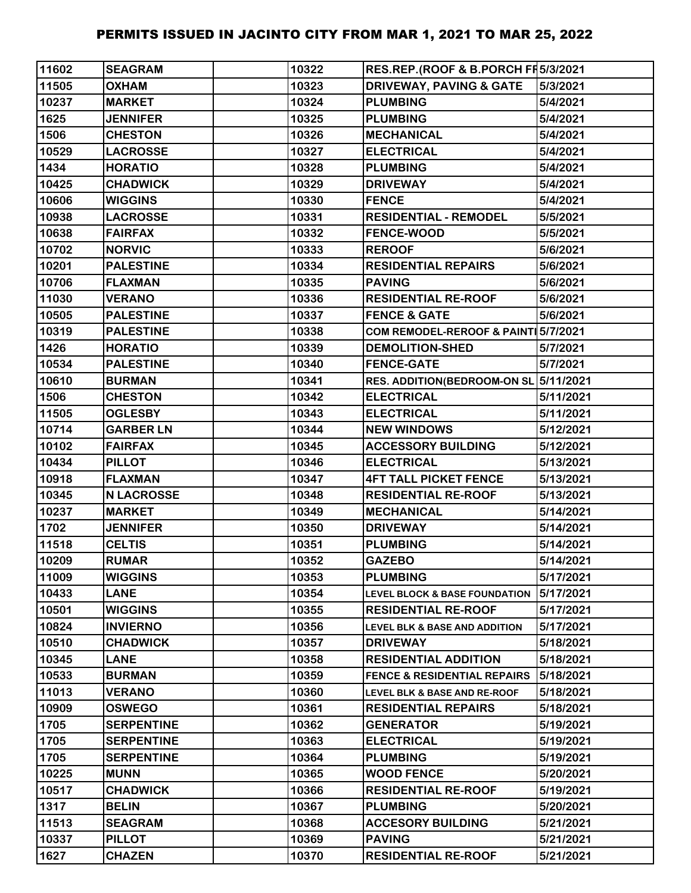| 11602        | <b>SEAGRAM</b>    | 10322 | RES.REP.(ROOF & B.PORCH FF5/3/2021       |           |
|--------------|-------------------|-------|------------------------------------------|-----------|
| 11505        | <b>OXHAM</b>      | 10323 | <b>DRIVEWAY, PAVING &amp; GATE</b>       | 5/3/2021  |
| 10237        | <b>MARKET</b>     | 10324 | <b>PLUMBING</b>                          | 5/4/2021  |
| 1625         | <b>JENNIFER</b>   | 10325 | <b>PLUMBING</b>                          | 5/4/2021  |
| 1506         | <b>CHESTON</b>    | 10326 | <b>MECHANICAL</b>                        | 5/4/2021  |
| 10529        | <b>LACROSSE</b>   | 10327 | <b>ELECTRICAL</b>                        | 5/4/2021  |
| 1434         | <b>HORATIO</b>    | 10328 | <b>PLUMBING</b>                          | 5/4/2021  |
| 10425        | <b>CHADWICK</b>   | 10329 | <b>DRIVEWAY</b>                          | 5/4/2021  |
| 10606        | <b>WIGGINS</b>    | 10330 | <b>FENCE</b>                             | 5/4/2021  |
| 10938        | <b>LACROSSE</b>   | 10331 | <b>RESIDENTIAL - REMODEL</b>             | 5/5/2021  |
| 10638        | <b>FAIRFAX</b>    | 10332 | <b>FENCE-WOOD</b>                        | 5/5/2021  |
| 10702        | <b>NORVIC</b>     | 10333 | <b>REROOF</b>                            | 5/6/2021  |
| 10201        | <b>PALESTINE</b>  | 10334 | <b>RESIDENTIAL REPAIRS</b>               | 5/6/2021  |
| 10706        | <b>FLAXMAN</b>    | 10335 | <b>PAVING</b>                            | 5/6/2021  |
| 11030        | <b>VERANO</b>     | 10336 | <b>RESIDENTIAL RE-ROOF</b>               | 5/6/2021  |
| 10505        | <b>PALESTINE</b>  | 10337 | <b>FENCE &amp; GATE</b>                  | 5/6/2021  |
| 10319        | <b>PALESTINE</b>  | 10338 | COM REMODEL-REROOF & PAINT 5/7/2021      |           |
| 1426         | <b>HORATIO</b>    | 10339 | <b>DEMOLITION-SHED</b>                   | 5/7/2021  |
| 10534        | <b>PALESTINE</b>  | 10340 | <b>FENCE-GATE</b>                        | 5/7/2021  |
| 10610        | <b>BURMAN</b>     | 10341 | RES. ADDITION(BEDROOM-ON SL 5/11/2021    |           |
| 1506         | <b>CHESTON</b>    | 10342 | <b>ELECTRICAL</b>                        | 5/11/2021 |
| 11505        | <b>OGLESBY</b>    | 10343 | <b>ELECTRICAL</b>                        | 5/11/2021 |
| 10714        | <b>GARBER LN</b>  | 10344 | <b>NEW WINDOWS</b>                       | 5/12/2021 |
| 10102        | <b>FAIRFAX</b>    | 10345 | <b>ACCESSORY BUILDING</b>                | 5/12/2021 |
| 10434        | <b>PILLOT</b>     | 10346 | <b>ELECTRICAL</b>                        | 5/13/2021 |
| 10918        | <b>FLAXMAN</b>    | 10347 | <b>4FT TALL PICKET FENCE</b>             | 5/13/2021 |
| 10345        | <b>N LACROSSE</b> | 10348 | <b>RESIDENTIAL RE-ROOF</b>               | 5/13/2021 |
| 10237        | <b>MARKET</b>     | 10349 | <b>MECHANICAL</b>                        | 5/14/2021 |
| 1702         | <b>JENNIFER</b>   | 10350 | <b>DRIVEWAY</b>                          | 5/14/2021 |
| 11518        | <b>CELTIS</b>     | 10351 | <b>PLUMBING</b>                          | 5/14/2021 |
| 10209        | <b>RUMAR</b>      | 10352 | <b>GAZEBO</b>                            | 5/14/2021 |
| 11009        | <b>WIGGINS</b>    | 10353 | <b>PLUMBING</b>                          | 5/17/2021 |
| 10433        | <b>LANE</b>       | 10354 | <b>LEVEL BLOCK &amp; BASE FOUNDATION</b> | 5/17/2021 |
| 10501        | <b>WIGGINS</b>    | 10355 | <b>RESIDENTIAL RE-ROOF</b>               | 5/17/2021 |
| 10824        | <b>INVIERNO</b>   | 10356 | <b>LEVEL BLK &amp; BASE AND ADDITION</b> | 5/17/2021 |
| 10510        | <b>CHADWICK</b>   | 10357 | <b>DRIVEWAY</b>                          | 5/18/2021 |
| 10345        | <b>LANE</b>       | 10358 | <b>RESIDENTIAL ADDITION</b>              | 5/18/2021 |
| 10533        | <b>BURMAN</b>     | 10359 | <b>FENCE &amp; RESIDENTIAL REPAIRS</b>   | 5/18/2021 |
| 11013        | <b>VERANO</b>     | 10360 | LEVEL BLK & BASE AND RE-ROOF             | 5/18/2021 |
| 10909        | <b>OSWEGO</b>     | 10361 | <b>RESIDENTIAL REPAIRS</b>               | 5/18/2021 |
| 1705         | <b>SERPENTINE</b> | 10362 | <b>GENERATOR</b>                         | 5/19/2021 |
|              |                   | 10363 |                                          |           |
| 1705<br>1705 | <b>SERPENTINE</b> |       | <b>ELECTRICAL</b>                        | 5/19/2021 |
|              | <b>SERPENTINE</b> | 10364 | <b>PLUMBING</b>                          | 5/19/2021 |
| 10225        | <b>MUNN</b>       | 10365 | <b>WOOD FENCE</b>                        | 5/20/2021 |
| 10517        | <b>CHADWICK</b>   | 10366 | <b>RESIDENTIAL RE-ROOF</b>               | 5/19/2021 |
| 1317         | <b>BELIN</b>      | 10367 | <b>PLUMBING</b>                          | 5/20/2021 |
| 11513        | <b>SEAGRAM</b>    | 10368 | <b>ACCESORY BUILDING</b>                 | 5/21/2021 |
| 10337        | <b>PILLOT</b>     | 10369 | <b>PAVING</b>                            | 5/21/2021 |
| 1627         | <b>CHAZEN</b>     | 10370 | <b>RESIDENTIAL RE-ROOF</b>               | 5/21/2021 |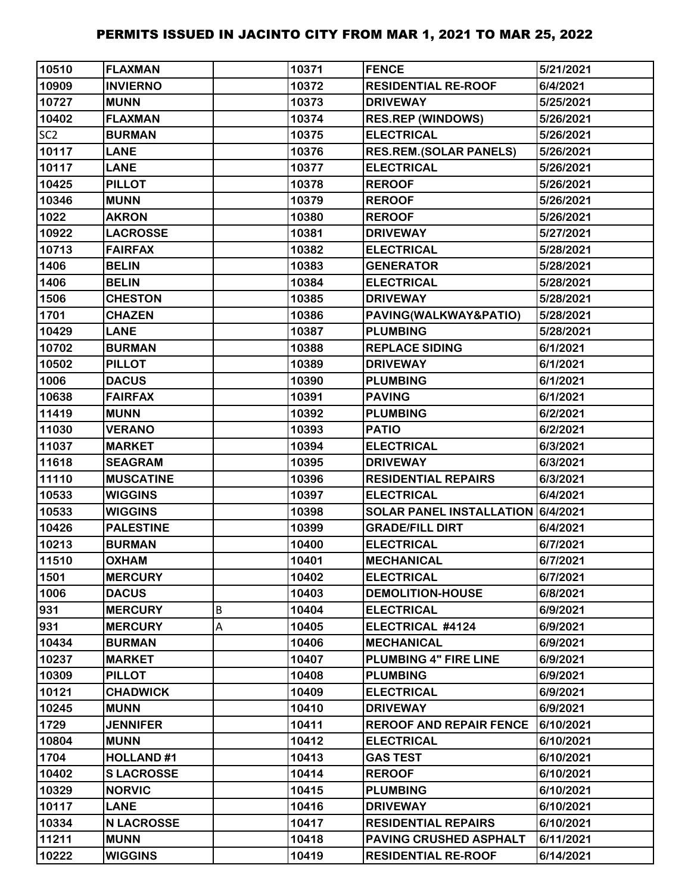| 10510           | <b>FLAXMAN</b>    |   | 10371 | <b>FENCE</b>                      | 5/21/2021 |
|-----------------|-------------------|---|-------|-----------------------------------|-----------|
| 10909           | <b>INVIERNO</b>   |   | 10372 | <b>RESIDENTIAL RE-ROOF</b>        | 6/4/2021  |
| 10727           | <b>MUNN</b>       |   | 10373 | <b>DRIVEWAY</b>                   | 5/25/2021 |
| 10402           | <b>FLAXMAN</b>    |   | 10374 | <b>RES.REP (WINDOWS)</b>          | 5/26/2021 |
| SC <sub>2</sub> | <b>BURMAN</b>     |   | 10375 | <b>ELECTRICAL</b>                 | 5/26/2021 |
| 10117           | <b>LANE</b>       |   | 10376 | <b>RES.REM.(SOLAR PANELS)</b>     | 5/26/2021 |
| 10117           | <b>LANE</b>       |   | 10377 | <b>ELECTRICAL</b>                 | 5/26/2021 |
| 10425           | <b>PILLOT</b>     |   | 10378 | <b>REROOF</b>                     | 5/26/2021 |
| 10346           | <b>MUNN</b>       |   | 10379 | <b>REROOF</b>                     | 5/26/2021 |
| 1022            | <b>AKRON</b>      |   | 10380 | <b>REROOF</b>                     | 5/26/2021 |
| 10922           | <b>LACROSSE</b>   |   | 10381 | <b>DRIVEWAY</b>                   | 5/27/2021 |
| 10713           | <b>FAIRFAX</b>    |   | 10382 | <b>ELECTRICAL</b>                 | 5/28/2021 |
| 1406            | <b>BELIN</b>      |   | 10383 | <b>GENERATOR</b>                  | 5/28/2021 |
| 1406            | <b>BELIN</b>      |   | 10384 | <b>ELECTRICAL</b>                 | 5/28/2021 |
| 1506            | <b>CHESTON</b>    |   | 10385 | <b>DRIVEWAY</b>                   | 5/28/2021 |
| 1701            | <b>CHAZEN</b>     |   | 10386 | PAVING(WALKWAY&PATIO)             | 5/28/2021 |
| 10429           | <b>LANE</b>       |   | 10387 | <b>PLUMBING</b>                   | 5/28/2021 |
| 10702           | <b>BURMAN</b>     |   | 10388 | <b>REPLACE SIDING</b>             | 6/1/2021  |
| 10502           | <b>PILLOT</b>     |   | 10389 | <b>DRIVEWAY</b>                   | 6/1/2021  |
| 1006            | <b>DACUS</b>      |   | 10390 | <b>PLUMBING</b>                   | 6/1/2021  |
| 10638           | <b>FAIRFAX</b>    |   | 10391 | <b>PAVING</b>                     | 6/1/2021  |
| 11419           | <b>MUNN</b>       |   | 10392 | <b>PLUMBING</b>                   | 6/2/2021  |
| 11030           | <b>VERANO</b>     |   | 10393 | <b>PATIO</b>                      | 6/2/2021  |
| 11037           | <b>MARKET</b>     |   | 10394 | <b>ELECTRICAL</b>                 | 6/3/2021  |
| 11618           | <b>SEAGRAM</b>    |   | 10395 | <b>DRIVEWAY</b>                   | 6/3/2021  |
| 11110           | <b>MUSCATINE</b>  |   | 10396 | <b>RESIDENTIAL REPAIRS</b>        | 6/3/2021  |
| 10533           | <b>WIGGINS</b>    |   | 10397 | <b>ELECTRICAL</b>                 | 6/4/2021  |
| 10533           | <b>WIGGINS</b>    |   | 10398 | SOLAR PANEL INSTALLATION 6/4/2021 |           |
| 10426           | <b>PALESTINE</b>  |   | 10399 | <b>GRADE/FILL DIRT</b>            | 6/4/2021  |
| 10213           | <b>BURMAN</b>     |   | 10400 | <b>ELECTRICAL</b>                 | 6/7/2021  |
| 11510           | <b>OXHAM</b>      |   | 10401 | <b>MECHANICAL</b>                 | 6/7/2021  |
| 1501            | <b>MERCURY</b>    |   | 10402 | <b>ELECTRICAL</b>                 | 6/7/2021  |
| 1006            | <b>DACUS</b>      |   | 10403 | <b>DEMOLITION-HOUSE</b>           | 6/8/2021  |
| 931             | <b>MERCURY</b>    | B | 10404 | <b>ELECTRICAL</b>                 | 6/9/2021  |
| 931             | <b>MERCURY</b>    | Α | 10405 | ELECTRICAL #4124                  | 6/9/2021  |
| 10434           | <b>BURMAN</b>     |   | 10406 | <b>MECHANICAL</b>                 | 6/9/2021  |
| 10237           | <b>MARKET</b>     |   | 10407 | PLUMBING 4" FIRE LINE             | 6/9/2021  |
| 10309           | <b>PILLOT</b>     |   | 10408 | <b>PLUMBING</b>                   | 6/9/2021  |
| 10121           | <b>CHADWICK</b>   |   | 10409 | <b>ELECTRICAL</b>                 | 6/9/2021  |
| 10245           | <b>MUNN</b>       |   | 10410 | <b>DRIVEWAY</b>                   | 6/9/2021  |
| 1729            | <b>JENNIFER</b>   |   | 10411 | <b>REROOF AND REPAIR FENCE</b>    | 6/10/2021 |
| 10804           | <b>MUNN</b>       |   | 10412 | <b>ELECTRICAL</b>                 | 6/10/2021 |
| 1704            | <b>HOLLAND#1</b>  |   | 10413 | <b>GAS TEST</b>                   | 6/10/2021 |
| 10402           | <b>SLACROSSE</b>  |   | 10414 | <b>REROOF</b>                     | 6/10/2021 |
| 10329           | <b>NORVIC</b>     |   | 10415 | <b>PLUMBING</b>                   | 6/10/2021 |
| 10117           | <b>LANE</b>       |   | 10416 | <b>DRIVEWAY</b>                   | 6/10/2021 |
| 10334           | <b>N LACROSSE</b> |   | 10417 | <b>RESIDENTIAL REPAIRS</b>        | 6/10/2021 |
| 11211           | <b>MUNN</b>       |   | 10418 | PAVING CRUSHED ASPHALT            | 6/11/2021 |
| 10222           | <b>WIGGINS</b>    |   | 10419 | <b>RESIDENTIAL RE-ROOF</b>        | 6/14/2021 |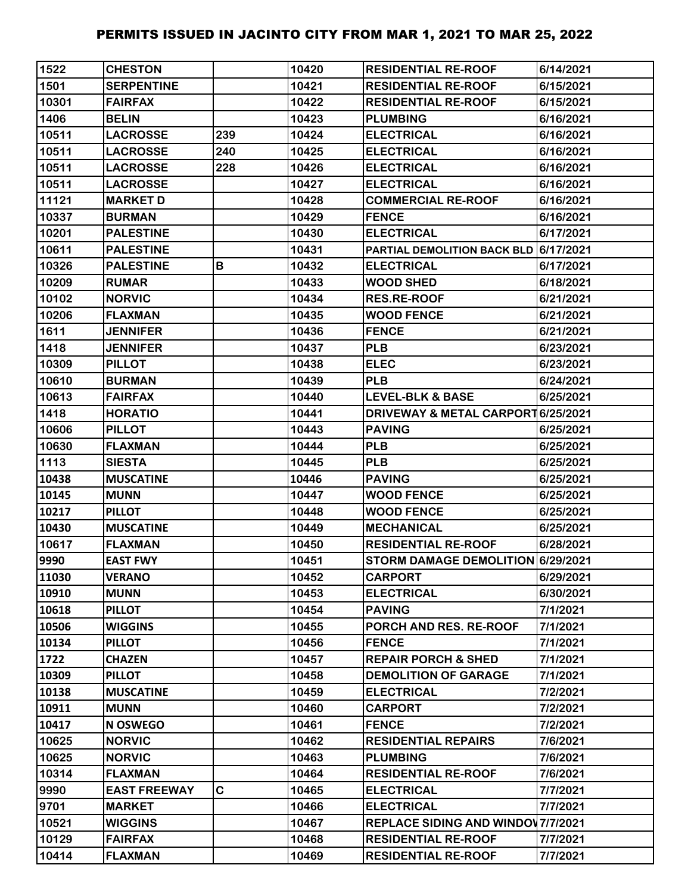| 1522  | <b>CHESTON</b>      |     | 10420 | <b>RESIDENTIAL RE-ROOF</b>                   | 6/14/2021 |
|-------|---------------------|-----|-------|----------------------------------------------|-----------|
| 1501  | <b>SERPENTINE</b>   |     | 10421 | <b>RESIDENTIAL RE-ROOF</b>                   | 6/15/2021 |
| 10301 | <b>FAIRFAX</b>      |     | 10422 | <b>RESIDENTIAL RE-ROOF</b>                   | 6/15/2021 |
| 1406  | <b>BELIN</b>        |     | 10423 | <b>PLUMBING</b>                              | 6/16/2021 |
| 10511 | <b>LACROSSE</b>     | 239 | 10424 | <b>ELECTRICAL</b>                            | 6/16/2021 |
| 10511 | <b>LACROSSE</b>     | 240 | 10425 | <b>ELECTRICAL</b>                            | 6/16/2021 |
| 10511 | <b>LACROSSE</b>     | 228 | 10426 | <b>ELECTRICAL</b>                            | 6/16/2021 |
| 10511 | <b>LACROSSE</b>     |     | 10427 | <b>ELECTRICAL</b>                            | 6/16/2021 |
| 11121 | <b>MARKET D</b>     |     | 10428 | <b>COMMERCIAL RE-ROOF</b>                    | 6/16/2021 |
| 10337 | <b>BURMAN</b>       |     | 10429 | <b>FENCE</b>                                 | 6/16/2021 |
| 10201 | <b>PALESTINE</b>    |     | 10430 | <b>ELECTRICAL</b>                            | 6/17/2021 |
| 10611 | <b>PALESTINE</b>    |     | 10431 | PARTIAL DEMOLITION BACK BLD 6/17/2021        |           |
| 10326 | <b>PALESTINE</b>    | В   | 10432 | <b>ELECTRICAL</b>                            | 6/17/2021 |
| 10209 | <b>RUMAR</b>        |     | 10433 | <b>WOOD SHED</b>                             | 6/18/2021 |
| 10102 | <b>NORVIC</b>       |     | 10434 | <b>RES.RE-ROOF</b>                           | 6/21/2021 |
| 10206 | <b>FLAXMAN</b>      |     | 10435 | <b>WOOD FENCE</b>                            | 6/21/2021 |
| 1611  | <b>JENNIFER</b>     |     | 10436 | <b>FENCE</b>                                 | 6/21/2021 |
| 1418  | <b>JENNIFER</b>     |     | 10437 | <b>PLB</b>                                   | 6/23/2021 |
| 10309 | <b>PILLOT</b>       |     | 10438 | <b>ELEC</b>                                  | 6/23/2021 |
| 10610 | <b>BURMAN</b>       |     | 10439 | <b>PLB</b>                                   | 6/24/2021 |
| 10613 | <b>FAIRFAX</b>      |     | 10440 | <b>LEVEL-BLK &amp; BASE</b>                  | 6/25/2021 |
| 1418  | <b>HORATIO</b>      |     | 10441 | <b>DRIVEWAY &amp; METAL CARPORT6/25/2021</b> |           |
| 10606 | <b>PILLOT</b>       |     | 10443 | <b>PAVING</b>                                | 6/25/2021 |
| 10630 | <b>FLAXMAN</b>      |     | 10444 | <b>PLB</b>                                   | 6/25/2021 |
| 1113  | <b>SIESTA</b>       |     | 10445 | <b>PLB</b>                                   | 6/25/2021 |
| 10438 | <b>MUSCATINE</b>    |     | 10446 | <b>PAVING</b>                                | 6/25/2021 |
| 10145 | <b>MUNN</b>         |     | 10447 | <b>WOOD FENCE</b>                            | 6/25/2021 |
| 10217 | <b>PILLOT</b>       |     | 10448 | <b>WOOD FENCE</b>                            | 6/25/2021 |
| 10430 | <b>MUSCATINE</b>    |     | 10449 | <b>MECHANICAL</b>                            | 6/25/2021 |
| 10617 | <b>FLAXMAN</b>      |     | 10450 | <b>RESIDENTIAL RE-ROOF</b>                   | 6/28/2021 |
| 9990  | <b>EAST FWY</b>     |     | 10451 | STORM DAMAGE DEMOLITION 6/29/2021            |           |
| 11030 | <b>VERANO</b>       |     | 10452 | <b>CARPORT</b>                               | 6/29/2021 |
| 10910 | <b>MUNN</b>         |     | 10453 | <b>ELECTRICAL</b>                            | 6/30/2021 |
| 10618 | <b>PILLOT</b>       |     | 10454 | <b>PAVING</b>                                | 7/1/2021  |
| 10506 | <b>WIGGINS</b>      |     | 10455 | PORCH AND RES. RE-ROOF                       | 7/1/2021  |
| 10134 | <b>PILLOT</b>       |     | 10456 | <b>FENCE</b>                                 | 7/1/2021  |
| 1722  | <b>CHAZEN</b>       |     | 10457 | <b>REPAIR PORCH &amp; SHED</b>               | 7/1/2021  |
| 10309 | <b>PILLOT</b>       |     | 10458 | <b>DEMOLITION OF GARAGE</b>                  | 7/1/2021  |
| 10138 | <b>MUSCATINE</b>    |     | 10459 | <b>ELECTRICAL</b>                            | 7/2/2021  |
| 10911 | <b>MUNN</b>         |     | 10460 | <b>CARPORT</b>                               | 7/2/2021  |
| 10417 | N OSWEGO            |     | 10461 | <b>FENCE</b>                                 | 7/2/2021  |
| 10625 | <b>NORVIC</b>       |     | 10462 | <b>RESIDENTIAL REPAIRS</b>                   | 7/6/2021  |
| 10625 | <b>NORVIC</b>       |     | 10463 | <b>PLUMBING</b>                              | 7/6/2021  |
| 10314 | <b>FLAXMAN</b>      |     | 10464 | <b>RESIDENTIAL RE-ROOF</b>                   | 7/6/2021  |
| 9990  | <b>EAST FREEWAY</b> | C.  | 10465 | <b>ELECTRICAL</b>                            | 7/7/2021  |
| 9701  | <b>MARKET</b>       |     | 10466 | <b>ELECTRICAL</b>                            | 7/7/2021  |
| 10521 | <b>WIGGINS</b>      |     | 10467 | <b>REPLACE SIDING AND WINDOW 7/7/2021</b>    |           |
| 10129 | <b>FAIRFAX</b>      |     | 10468 | <b>RESIDENTIAL RE-ROOF</b>                   | 7/7/2021  |
| 10414 | <b>FLAXMAN</b>      |     | 10469 | <b>RESIDENTIAL RE-ROOF</b>                   | 7/7/2021  |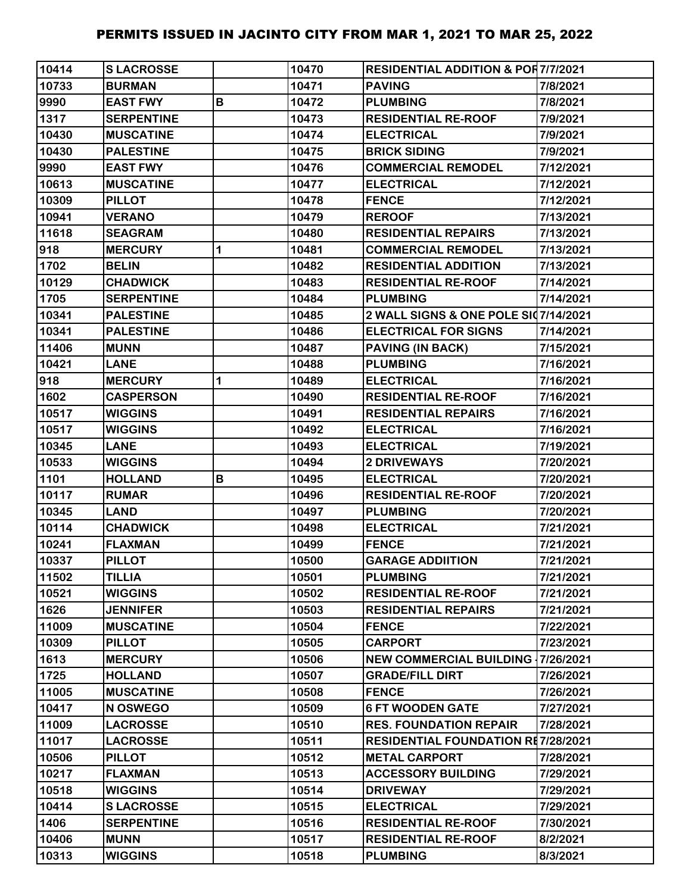| 10414 | <b>SLACROSSE</b>  |   | 10470 | <b>RESIDENTIAL ADDITION &amp; POR7/7/2021</b> |           |
|-------|-------------------|---|-------|-----------------------------------------------|-----------|
| 10733 | <b>BURMAN</b>     |   | 10471 | <b>PAVING</b>                                 | 7/8/2021  |
| 9990  | <b>EAST FWY</b>   | B | 10472 | <b>PLUMBING</b>                               | 7/8/2021  |
| 1317  | <b>SERPENTINE</b> |   | 10473 | <b>RESIDENTIAL RE-ROOF</b>                    | 7/9/2021  |
| 10430 | <b>MUSCATINE</b>  |   | 10474 | <b>ELECTRICAL</b>                             | 7/9/2021  |
| 10430 | <b>PALESTINE</b>  |   | 10475 | <b>BRICK SIDING</b>                           | 7/9/2021  |
| 9990  | <b>EAST FWY</b>   |   | 10476 | <b>COMMERCIAL REMODEL</b>                     | 7/12/2021 |
| 10613 | <b>MUSCATINE</b>  |   | 10477 | <b>ELECTRICAL</b>                             | 7/12/2021 |
| 10309 | <b>PILLOT</b>     |   | 10478 | <b>FENCE</b>                                  | 7/12/2021 |
| 10941 | <b>VERANO</b>     |   | 10479 | <b>REROOF</b>                                 | 7/13/2021 |
| 11618 | <b>SEAGRAM</b>    |   | 10480 | <b>RESIDENTIAL REPAIRS</b>                    | 7/13/2021 |
| 918   | <b>MERCURY</b>    | 1 | 10481 | <b>COMMERCIAL REMODEL</b>                     | 7/13/2021 |
| 1702  | <b>BELIN</b>      |   | 10482 | <b>RESIDENTIAL ADDITION</b>                   | 7/13/2021 |
| 10129 | <b>CHADWICK</b>   |   | 10483 | <b>RESIDENTIAL RE-ROOF</b>                    | 7/14/2021 |
| 1705  | <b>SERPENTINE</b> |   | 10484 | <b>PLUMBING</b>                               | 7/14/2021 |
| 10341 | <b>PALESTINE</b>  |   | 10485 | 2 WALL SIGNS & ONE POLE SI07/14/2021          |           |
| 10341 | <b>PALESTINE</b>  |   | 10486 | <b>ELECTRICAL FOR SIGNS</b>                   | 7/14/2021 |
| 11406 | <b>MUNN</b>       |   | 10487 | <b>PAVING (IN BACK)</b>                       | 7/15/2021 |
| 10421 | <b>LANE</b>       |   | 10488 | <b>PLUMBING</b>                               | 7/16/2021 |
| 918   | <b>MERCURY</b>    | 1 | 10489 | <b>ELECTRICAL</b>                             | 7/16/2021 |
| 1602  | <b>CASPERSON</b>  |   | 10490 | <b>RESIDENTIAL RE-ROOF</b>                    | 7/16/2021 |
| 10517 | <b>WIGGINS</b>    |   | 10491 | <b>RESIDENTIAL REPAIRS</b>                    | 7/16/2021 |
| 10517 | <b>WIGGINS</b>    |   | 10492 | <b>ELECTRICAL</b>                             | 7/16/2021 |
| 10345 | <b>LANE</b>       |   | 10493 | <b>ELECTRICAL</b>                             | 7/19/2021 |
| 10533 | <b>WIGGINS</b>    |   | 10494 | <b>2 DRIVEWAYS</b>                            | 7/20/2021 |
| 1101  | <b>HOLLAND</b>    | В | 10495 | <b>ELECTRICAL</b>                             | 7/20/2021 |
| 10117 | <b>RUMAR</b>      |   | 10496 | <b>RESIDENTIAL RE-ROOF</b>                    | 7/20/2021 |
| 10345 | <b>LAND</b>       |   | 10497 | <b>PLUMBING</b>                               | 7/20/2021 |
| 10114 | <b>CHADWICK</b>   |   | 10498 | <b>ELECTRICAL</b>                             | 7/21/2021 |
| 10241 | <b>FLAXMAN</b>    |   | 10499 | <b>FENCE</b>                                  | 7/21/2021 |
| 10337 | <b>PILLOT</b>     |   | 10500 | <b>GARAGE ADDIITION</b>                       | 7/21/2021 |
| 11502 | <b>TILLIA</b>     |   | 10501 | <b>PLUMBING</b>                               | 7/21/2021 |
| 10521 | <b>WIGGINS</b>    |   | 10502 | <b>RESIDENTIAL RE-ROOF</b>                    | 7/21/2021 |
| 1626  | <b>JENNIFER</b>   |   | 10503 | <b>RESIDENTIAL REPAIRS</b>                    | 7/21/2021 |
| 11009 | <b>MUSCATINE</b>  |   | 10504 | <b>FENCE</b>                                  | 7/22/2021 |
| 10309 | <b>PILLOT</b>     |   | 10505 | <b>CARPORT</b>                                | 7/23/2021 |
| 1613  | <b>MERCURY</b>    |   | 10506 | <b>NEW COMMERCIAL BUILDING</b>                | 7/26/2021 |
| 1725  | <b>HOLLAND</b>    |   | 10507 | <b>GRADE/FILL DIRT</b>                        | 7/26/2021 |
| 11005 | <b>MUSCATINE</b>  |   | 10508 | <b>FENCE</b>                                  | 7/26/2021 |
| 10417 | N OSWEGO          |   | 10509 | <b>6 FT WOODEN GATE</b>                       | 7/27/2021 |
| 11009 | <b>LACROSSE</b>   |   | 10510 | <b>RES. FOUNDATION REPAIR</b>                 | 7/28/2021 |
| 11017 | <b>LACROSSE</b>   |   | 10511 | RESIDENTIAL FOUNDATION RE7/28/2021            |           |
| 10506 | <b>PILLOT</b>     |   | 10512 | <b>METAL CARPORT</b>                          | 7/28/2021 |
| 10217 | <b>FLAXMAN</b>    |   | 10513 | <b>ACCESSORY BUILDING</b>                     | 7/29/2021 |
| 10518 | <b>WIGGINS</b>    |   | 10514 | <b>DRIVEWAY</b>                               | 7/29/2021 |
| 10414 | <b>SLACROSSE</b>  |   | 10515 | <b>ELECTRICAL</b>                             | 7/29/2021 |
| 1406  | <b>SERPENTINE</b> |   | 10516 | <b>RESIDENTIAL RE-ROOF</b>                    | 7/30/2021 |
| 10406 | <b>MUNN</b>       |   | 10517 | <b>RESIDENTIAL RE-ROOF</b>                    | 8/2/2021  |
| 10313 | <b>WIGGINS</b>    |   | 10518 | <b>PLUMBING</b>                               | 8/3/2021  |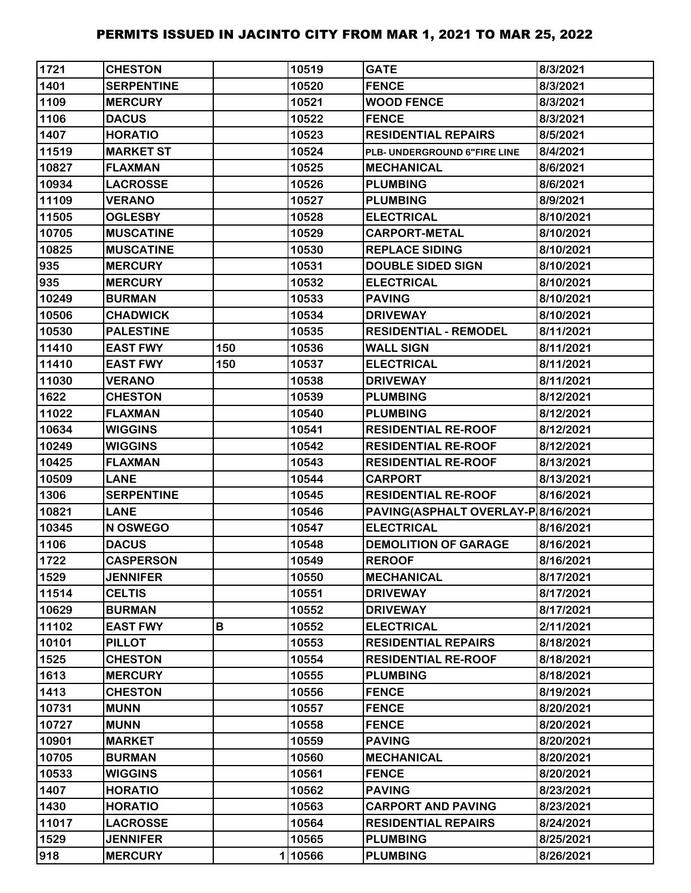| 1721  | <b>CHESTON</b>    |     | 10519  | <b>GATE</b>                        | 8/3/2021  |
|-------|-------------------|-----|--------|------------------------------------|-----------|
| 1401  | <b>SERPENTINE</b> |     | 10520  | <b>FENCE</b>                       | 8/3/2021  |
| 1109  | <b>MERCURY</b>    |     | 10521  | <b>WOOD FENCE</b>                  | 8/3/2021  |
| 1106  | <b>DACUS</b>      |     | 10522  | <b>FENCE</b>                       | 8/3/2021  |
| 1407  | <b>HORATIO</b>    |     | 10523  | <b>RESIDENTIAL REPAIRS</b>         | 8/5/2021  |
| 11519 | <b>MARKET ST</b>  |     | 10524  | PLB- UNDERGROUND 6"FIRE LINE       | 8/4/2021  |
| 10827 | <b>FLAXMAN</b>    |     | 10525  | <b>MECHANICAL</b>                  | 8/6/2021  |
| 10934 | <b>LACROSSE</b>   |     | 10526  | <b>PLUMBING</b>                    | 8/6/2021  |
| 11109 | <b>VERANO</b>     |     | 10527  | <b>PLUMBING</b>                    | 8/9/2021  |
| 11505 | <b>OGLESBY</b>    |     | 10528  | <b>ELECTRICAL</b>                  | 8/10/2021 |
| 10705 | <b>MUSCATINE</b>  |     | 10529  | <b>CARPORT-METAL</b>               | 8/10/2021 |
| 10825 | <b>MUSCATINE</b>  |     | 10530  | <b>REPLACE SIDING</b>              | 8/10/2021 |
| 935   | <b>MERCURY</b>    |     | 10531  | <b>DOUBLE SIDED SIGN</b>           | 8/10/2021 |
| 935   | <b>MERCURY</b>    |     | 10532  | <b>ELECTRICAL</b>                  | 8/10/2021 |
| 10249 | <b>BURMAN</b>     |     | 10533  | <b>PAVING</b>                      | 8/10/2021 |
| 10506 | <b>CHADWICK</b>   |     | 10534  | <b>DRIVEWAY</b>                    | 8/10/2021 |
| 10530 | <b>PALESTINE</b>  |     | 10535  | <b>RESIDENTIAL - REMODEL</b>       | 8/11/2021 |
| 11410 | <b>EAST FWY</b>   | 150 | 10536  | <b>WALL SIGN</b>                   | 8/11/2021 |
| 11410 | <b>EAST FWY</b>   | 150 | 10537  | <b>ELECTRICAL</b>                  | 8/11/2021 |
| 11030 | <b>VERANO</b>     |     | 10538  | <b>DRIVEWAY</b>                    | 8/11/2021 |
| 1622  | <b>CHESTON</b>    |     | 10539  | <b>PLUMBING</b>                    | 8/12/2021 |
| 11022 | <b>FLAXMAN</b>    |     | 10540  | <b>PLUMBING</b>                    | 8/12/2021 |
| 10634 | <b>WIGGINS</b>    |     | 10541  | <b>RESIDENTIAL RE-ROOF</b>         | 8/12/2021 |
| 10249 | <b>WIGGINS</b>    |     | 10542  | <b>RESIDENTIAL RE-ROOF</b>         | 8/12/2021 |
| 10425 | <b>FLAXMAN</b>    |     | 10543  | <b>RESIDENTIAL RE-ROOF</b>         | 8/13/2021 |
| 10509 | <b>LANE</b>       |     | 10544  | <b>CARPORT</b>                     | 8/13/2021 |
| 1306  | <b>SERPENTINE</b> |     | 10545  | <b>RESIDENTIAL RE-ROOF</b>         | 8/16/2021 |
| 10821 | <b>LANE</b>       |     | 10546  | PAVING(ASPHALT OVERLAY-P 8/16/2021 |           |
| 10345 | N OSWEGO          |     | 10547  | <b>ELECTRICAL</b>                  | 8/16/2021 |
| 1106  | <b>DACUS</b>      |     | 10548  | <b>DEMOLITION OF GARAGE</b>        | 8/16/2021 |
| 1722  | <b>CASPERSON</b>  |     | 10549  | <b>REROOF</b>                      | 8/16/2021 |
| 1529  | <b>JENNIFER</b>   |     | 10550  | <b>MECHANICAL</b>                  | 8/17/2021 |
| 11514 | <b>CELTIS</b>     |     | 10551  | <b>DRIVEWAY</b>                    | 8/17/2021 |
| 10629 | <b>BURMAN</b>     |     | 10552  | <b>DRIVEWAY</b>                    | 8/17/2021 |
| 11102 | <b>EAST FWY</b>   | B   | 10552  | <b>ELECTRICAL</b>                  | 2/11/2021 |
| 10101 | <b>PILLOT</b>     |     | 10553  | <b>RESIDENTIAL REPAIRS</b>         | 8/18/2021 |
| 1525  | <b>CHESTON</b>    |     | 10554  | <b>RESIDENTIAL RE-ROOF</b>         | 8/18/2021 |
| 1613  | <b>MERCURY</b>    |     | 10555  | <b>PLUMBING</b>                    | 8/18/2021 |
| 1413  | <b>CHESTON</b>    |     | 10556  | <b>FENCE</b>                       | 8/19/2021 |
| 10731 | <b>MUNN</b>       |     | 10557  | <b>FENCE</b>                       | 8/20/2021 |
| 10727 | <b>MUNN</b>       |     | 10558  | <b>FENCE</b>                       | 8/20/2021 |
| 10901 | <b>MARKET</b>     |     | 10559  | <b>PAVING</b>                      | 8/20/2021 |
| 10705 | <b>BURMAN</b>     |     | 10560  | <b>MECHANICAL</b>                  | 8/20/2021 |
| 10533 | <b>WIGGINS</b>    |     | 10561  | <b>FENCE</b>                       | 8/20/2021 |
| 1407  | <b>HORATIO</b>    |     | 10562  | <b>PAVING</b>                      | 8/23/2021 |
| 1430  | <b>HORATIO</b>    |     | 10563  | <b>CARPORT AND PAVING</b>          | 8/23/2021 |
| 11017 | <b>LACROSSE</b>   |     | 10564  | <b>RESIDENTIAL REPAIRS</b>         | 8/24/2021 |
| 1529  | <b>JENNIFER</b>   |     | 10565  | <b>PLUMBING</b>                    | 8/25/2021 |
| 918   | <b>MERCURY</b>    |     | 110566 | <b>PLUMBING</b>                    | 8/26/2021 |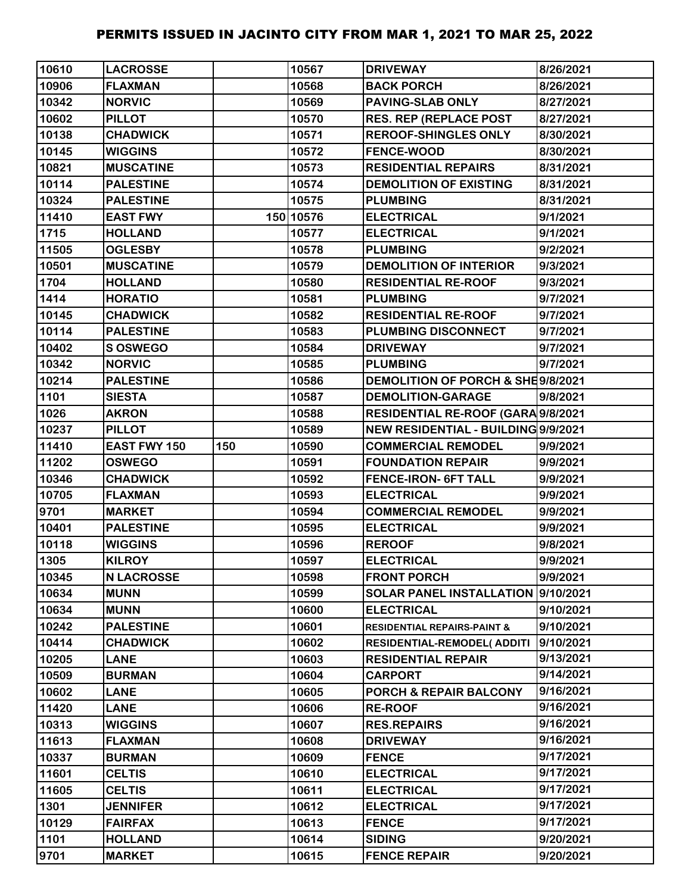| 10610 | <b>LACROSSE</b>     |     | 10567     | <b>DRIVEWAY</b>                        | 8/26/2021 |
|-------|---------------------|-----|-----------|----------------------------------------|-----------|
| 10906 | <b>FLAXMAN</b>      |     | 10568     | <b>BACK PORCH</b>                      | 8/26/2021 |
| 10342 | <b>NORVIC</b>       |     | 10569     | <b>PAVING-SLAB ONLY</b>                | 8/27/2021 |
| 10602 | <b>PILLOT</b>       |     | 10570     | <b>RES. REP (REPLACE POST</b>          | 8/27/2021 |
| 10138 | <b>CHADWICK</b>     |     | 10571     | <b>REROOF-SHINGLES ONLY</b>            | 8/30/2021 |
| 10145 | <b>WIGGINS</b>      |     | 10572     | <b>FENCE-WOOD</b>                      | 8/30/2021 |
| 10821 | <b>MUSCATINE</b>    |     | 10573     | <b>RESIDENTIAL REPAIRS</b>             | 8/31/2021 |
| 10114 | <b>PALESTINE</b>    |     | 10574     | <b>DEMOLITION OF EXISTING</b>          | 8/31/2021 |
| 10324 | <b>PALESTINE</b>    |     | 10575     | <b>PLUMBING</b>                        | 8/31/2021 |
| 11410 | <b>EAST FWY</b>     |     | 150 10576 | <b>ELECTRICAL</b>                      | 9/1/2021  |
| 1715  | <b>HOLLAND</b>      |     | 10577     | <b>ELECTRICAL</b>                      | 9/1/2021  |
| 11505 | <b>OGLESBY</b>      |     | 10578     | <b>PLUMBING</b>                        | 9/2/2021  |
| 10501 | <b>MUSCATINE</b>    |     | 10579     | <b>DEMOLITION OF INTERIOR</b>          | 9/3/2021  |
| 1704  | <b>HOLLAND</b>      |     | 10580     | <b>RESIDENTIAL RE-ROOF</b>             | 9/3/2021  |
| 1414  | <b>HORATIO</b>      |     | 10581     | <b>PLUMBING</b>                        | 9/7/2021  |
| 10145 | <b>CHADWICK</b>     |     | 10582     | <b>RESIDENTIAL RE-ROOF</b>             | 9/7/2021  |
| 10114 | <b>PALESTINE</b>    |     | 10583     | <b>PLUMBING DISCONNECT</b>             | 9/7/2021  |
| 10402 | S OSWEGO            |     | 10584     | <b>DRIVEWAY</b>                        | 9/7/2021  |
| 10342 | <b>NORVIC</b>       |     | 10585     | <b>PLUMBING</b>                        | 9/7/2021  |
| 10214 | <b>PALESTINE</b>    |     | 10586     | DEMOLITION OF PORCH & SHE9/8/2021      |           |
| 1101  | <b>SIESTA</b>       |     | 10587     | <b>DEMOLITION-GARAGE</b>               | 9/8/2021  |
| 1026  | <b>AKRON</b>        |     | 10588     | RESIDENTIAL RE-ROOF (GARA 9/8/2021     |           |
| 10237 | <b>PILLOT</b>       |     | 10589     | NEW RESIDENTIAL - BUILDING 9/9/2021    |           |
| 11410 | <b>EAST FWY 150</b> | 150 | 10590     | <b>COMMERCIAL REMODEL</b>              | 9/9/2021  |
| 11202 | <b>OSWEGO</b>       |     | 10591     | <b>FOUNDATION REPAIR</b>               | 9/9/2021  |
| 10346 | <b>CHADWICK</b>     |     | 10592     | <b>FENCE-IRON- 6FT TALL</b>            | 9/9/2021  |
| 10705 | <b>FLAXMAN</b>      |     | 10593     | <b>ELECTRICAL</b>                      | 9/9/2021  |
| 9701  | <b>MARKET</b>       |     | 10594     | <b>COMMERCIAL REMODEL</b>              | 9/9/2021  |
| 10401 | <b>PALESTINE</b>    |     | 10595     | <b>ELECTRICAL</b>                      | 9/9/2021  |
| 10118 | <b>WIGGINS</b>      |     | 10596     | <b>REROOF</b>                          | 9/8/2021  |
| 1305  | <b>KILROY</b>       |     | 10597     | <b>ELECTRICAL</b>                      | 9/9/2021  |
| 10345 | <b>N LACROSSE</b>   |     | 10598     | <b>FRONT PORCH</b>                     | 9/9/2021  |
| 10634 | <b>MUNN</b>         |     | 10599     | SOLAR PANEL INSTALLATION 9/10/2021     |           |
| 10634 | <b>MUNN</b>         |     | 10600     | <b>ELECTRICAL</b>                      | 9/10/2021 |
| 10242 | <b>PALESTINE</b>    |     | 10601     | <b>RESIDENTIAL REPAIRS-PAINT &amp;</b> | 9/10/2021 |
| 10414 | <b>CHADWICK</b>     |     | 10602     | RESIDENTIAL-REMODEL( ADDITI            | 9/10/2021 |
| 10205 | <b>LANE</b>         |     | 10603     | <b>RESIDENTIAL REPAIR</b>              | 9/13/2021 |
| 10509 | <b>BURMAN</b>       |     | 10604     | CARPORT                                | 9/14/2021 |
| 10602 | <b>LANE</b>         |     | 10605     | <b>PORCH &amp; REPAIR BALCONY</b>      | 9/16/2021 |
| 11420 | <b>LANE</b>         |     | 10606     | <b>RE-ROOF</b>                         | 9/16/2021 |
| 10313 | <b>WIGGINS</b>      |     | 10607     | <b>RES.REPAIRS</b>                     | 9/16/2021 |
| 11613 | <b>FLAXMAN</b>      |     | 10608     | <b>DRIVEWAY</b>                        | 9/16/2021 |
| 10337 | <b>BURMAN</b>       |     | 10609     | <b>FENCE</b>                           | 9/17/2021 |
| 11601 | <b>CELTIS</b>       |     | 10610     | <b>ELECTRICAL</b>                      | 9/17/2021 |
| 11605 | <b>CELTIS</b>       |     | 10611     | <b>ELECTRICAL</b>                      | 9/17/2021 |
| 1301  | <b>JENNIFER</b>     |     | 10612     | <b>ELECTRICAL</b>                      | 9/17/2021 |
| 10129 | <b>FAIRFAX</b>      |     | 10613     | <b>FENCE</b>                           | 9/17/2021 |
| 1101  | <b>HOLLAND</b>      |     | 10614     | <b>SIDING</b>                          | 9/20/2021 |
| 9701  | <b>MARKET</b>       |     | 10615     | <b>FENCE REPAIR</b>                    | 9/20/2021 |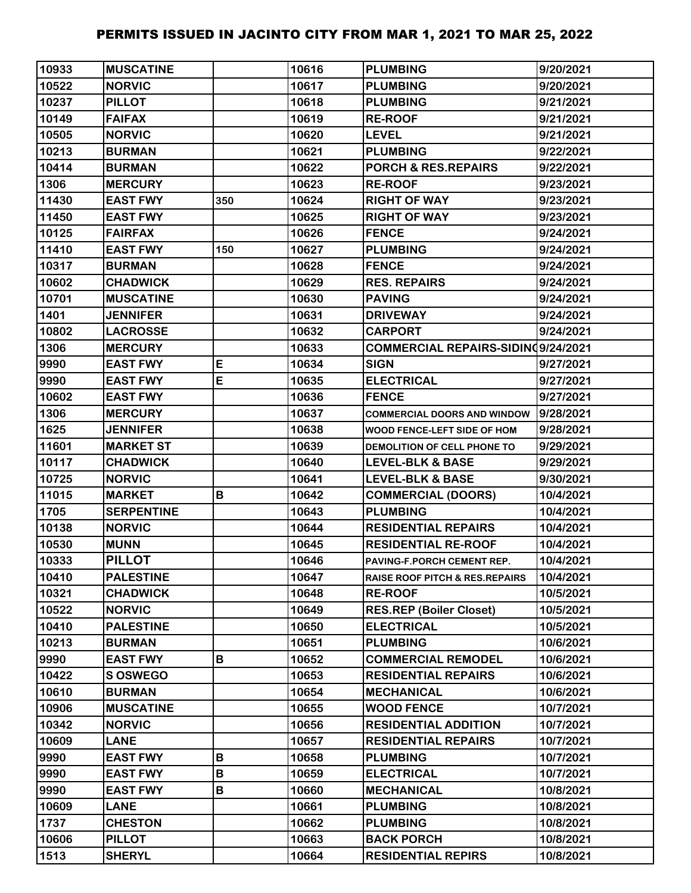| 10933 | <b>MUSCATINE</b>  |              | 10616 | <b>PLUMBING</b>                           | 9/20/2021 |
|-------|-------------------|--------------|-------|-------------------------------------------|-----------|
| 10522 | <b>NORVIC</b>     |              | 10617 | <b>PLUMBING</b>                           | 9/20/2021 |
| 10237 | <b>PILLOT</b>     |              | 10618 | <b>PLUMBING</b>                           | 9/21/2021 |
| 10149 | <b>FAIFAX</b>     |              | 10619 | <b>RE-ROOF</b>                            | 9/21/2021 |
| 10505 | <b>NORVIC</b>     |              | 10620 | <b>LEVEL</b>                              | 9/21/2021 |
| 10213 | <b>BURMAN</b>     |              | 10621 | <b>PLUMBING</b>                           | 9/22/2021 |
| 10414 | <b>BURMAN</b>     |              | 10622 | <b>PORCH &amp; RES.REPAIRS</b>            | 9/22/2021 |
| 1306  | <b>MERCURY</b>    |              | 10623 | <b>RE-ROOF</b>                            | 9/23/2021 |
| 11430 | <b>EAST FWY</b>   | 350          | 10624 | <b>RIGHT OF WAY</b>                       | 9/23/2021 |
| 11450 | <b>EAST FWY</b>   |              | 10625 | <b>RIGHT OF WAY</b>                       | 9/23/2021 |
| 10125 | <b>FAIRFAX</b>    |              | 10626 | <b>FENCE</b>                              | 9/24/2021 |
| 11410 | <b>EAST FWY</b>   | 150          | 10627 | <b>PLUMBING</b>                           | 9/24/2021 |
| 10317 | <b>BURMAN</b>     |              | 10628 | <b>FENCE</b>                              | 9/24/2021 |
| 10602 | <b>CHADWICK</b>   |              | 10629 | <b>RES. REPAIRS</b>                       | 9/24/2021 |
| 10701 | <b>MUSCATINE</b>  |              | 10630 | <b>PAVING</b>                             | 9/24/2021 |
| 1401  | <b>JENNIFER</b>   |              | 10631 | <b>DRIVEWAY</b>                           | 9/24/2021 |
| 10802 | <b>LACROSSE</b>   |              | 10632 | <b>CARPORT</b>                            | 9/24/2021 |
| 1306  | <b>MERCURY</b>    |              | 10633 | COMMERCIAL REPAIRS-SIDIN09/24/2021        |           |
| 9990  | <b>EAST FWY</b>   | E            | 10634 | <b>SIGN</b>                               | 9/27/2021 |
| 9990  | <b>EAST FWY</b>   | E            | 10635 | <b>ELECTRICAL</b>                         | 9/27/2021 |
| 10602 | <b>EAST FWY</b>   |              | 10636 | <b>FENCE</b>                              | 9/27/2021 |
| 1306  | <b>MERCURY</b>    |              | 10637 | <b>COMMERCIAL DOORS AND WINDOW</b>        | 9/28/2021 |
| 1625  | <b>JENNIFER</b>   |              | 10638 | WOOD FENCE-LEFT SIDE OF HOM               | 9/28/2021 |
| 11601 | <b>MARKET ST</b>  |              | 10639 | DEMOLITION OF CELL PHONE TO               | 9/29/2021 |
| 10117 | <b>CHADWICK</b>   |              | 10640 | <b>LEVEL-BLK &amp; BASE</b>               | 9/29/2021 |
| 10725 | <b>NORVIC</b>     |              | 10641 | <b>LEVEL-BLK &amp; BASE</b>               | 9/30/2021 |
| 11015 | <b>MARKET</b>     | B            | 10642 | <b>COMMERCIAL (DOORS)</b>                 | 10/4/2021 |
| 1705  | <b>SERPENTINE</b> |              | 10643 | <b>PLUMBING</b>                           | 10/4/2021 |
| 10138 | <b>NORVIC</b>     |              | 10644 | <b>RESIDENTIAL REPAIRS</b>                | 10/4/2021 |
| 10530 | <b>MUNN</b>       |              | 10645 | <b>RESIDENTIAL RE-ROOF</b>                | 10/4/2021 |
| 10333 | <b>PILLOT</b>     |              | 10646 | PAVING-F.PORCH CEMENT REP.                | 10/4/2021 |
| 10410 | <b>PALESTINE</b>  |              | 10647 | <b>RAISE ROOF PITCH &amp; RES.REPAIRS</b> | 10/4/2021 |
| 10321 | <b>CHADWICK</b>   |              | 10648 | <b>RE-ROOF</b>                            | 10/5/2021 |
| 10522 | <b>NORVIC</b>     |              | 10649 | <b>RES.REP (Boiler Closet)</b>            | 10/5/2021 |
| 10410 | <b>PALESTINE</b>  |              | 10650 | <b>ELECTRICAL</b>                         | 10/5/2021 |
| 10213 | <b>BURMAN</b>     |              | 10651 | <b>PLUMBING</b>                           | 10/6/2021 |
| 9990  | <b>EAST FWY</b>   | B            | 10652 | <b>COMMERCIAL REMODEL</b>                 | 10/6/2021 |
| 10422 | <b>SOSWEGO</b>    |              | 10653 | <b>RESIDENTIAL REPAIRS</b>                | 10/6/2021 |
| 10610 | <b>BURMAN</b>     |              | 10654 | <b>MECHANICAL</b>                         | 10/6/2021 |
| 10906 | <b>MUSCATINE</b>  |              | 10655 | <b>WOOD FENCE</b>                         | 10/7/2021 |
| 10342 | <b>NORVIC</b>     |              | 10656 | <b>RESIDENTIAL ADDITION</b>               | 10/7/2021 |
| 10609 | <b>LANE</b>       |              | 10657 | <b>RESIDENTIAL REPAIRS</b>                | 10/7/2021 |
| 9990  | <b>EAST FWY</b>   | B            | 10658 | <b>PLUMBING</b>                           | 10/7/2021 |
| 9990  | <b>EAST FWY</b>   | $\, {\bf B}$ | 10659 | <b>ELECTRICAL</b>                         | 10/7/2021 |
| 9990  | <b>EAST FWY</b>   | В            | 10660 | <b>MECHANICAL</b>                         | 10/8/2021 |
| 10609 | <b>LANE</b>       |              | 10661 | <b>PLUMBING</b>                           | 10/8/2021 |
| 1737  | <b>CHESTON</b>    |              | 10662 | <b>PLUMBING</b>                           | 10/8/2021 |
| 10606 | <b>PILLOT</b>     |              | 10663 | <b>BACK PORCH</b>                         | 10/8/2021 |
| 1513  | <b>SHERYL</b>     |              | 10664 | <b>RESIDENTIAL REPIRS</b>                 | 10/8/2021 |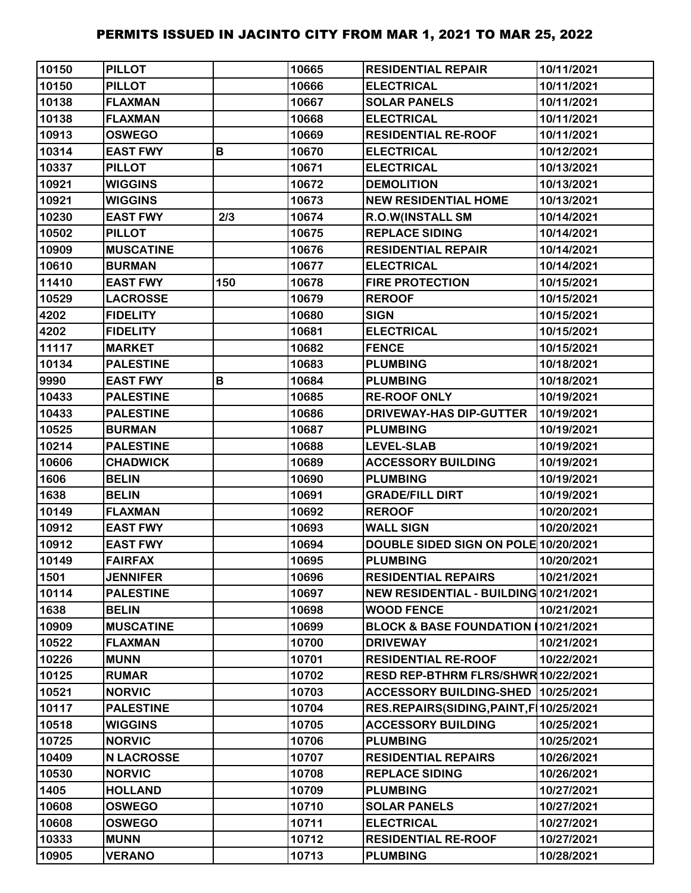| 10150 | <b>PILLOT</b>     |     | 10665 | <b>RESIDENTIAL REPAIR</b>               | 10/11/2021 |
|-------|-------------------|-----|-------|-----------------------------------------|------------|
| 10150 | <b>PILLOT</b>     |     | 10666 | <b>ELECTRICAL</b>                       | 10/11/2021 |
| 10138 | <b>FLAXMAN</b>    |     | 10667 | <b>SOLAR PANELS</b>                     | 10/11/2021 |
| 10138 | <b>FLAXMAN</b>    |     | 10668 | <b>ELECTRICAL</b>                       | 10/11/2021 |
| 10913 | <b>OSWEGO</b>     |     | 10669 | <b>RESIDENTIAL RE-ROOF</b>              | 10/11/2021 |
| 10314 | <b>EAST FWY</b>   | B   | 10670 | <b>ELECTRICAL</b>                       | 10/12/2021 |
| 10337 | <b>PILLOT</b>     |     | 10671 | <b>ELECTRICAL</b>                       | 10/13/2021 |
| 10921 | <b>WIGGINS</b>    |     | 10672 | <b>DEMOLITION</b>                       | 10/13/2021 |
| 10921 | <b>WIGGINS</b>    |     | 10673 | <b>NEW RESIDENTIAL HOME</b>             | 10/13/2021 |
| 10230 | <b>EAST FWY</b>   | 2/3 | 10674 | R.O.W(INSTALL SM                        | 10/14/2021 |
| 10502 | <b>PILLOT</b>     |     | 10675 | <b>REPLACE SIDING</b>                   | 10/14/2021 |
| 10909 | <b>MUSCATINE</b>  |     | 10676 | <b>RESIDENTIAL REPAIR</b>               | 10/14/2021 |
| 10610 | <b>BURMAN</b>     |     | 10677 | <b>ELECTRICAL</b>                       | 10/14/2021 |
| 11410 | <b>EAST FWY</b>   | 150 | 10678 | <b>FIRE PROTECTION</b>                  | 10/15/2021 |
| 10529 | <b>LACROSSE</b>   |     | 10679 | <b>REROOF</b>                           | 10/15/2021 |
| 4202  | <b>FIDELITY</b>   |     | 10680 | <b>SIGN</b>                             | 10/15/2021 |
| 4202  | <b>FIDELITY</b>   |     | 10681 | <b>ELECTRICAL</b>                       | 10/15/2021 |
| 11117 | <b>MARKET</b>     |     | 10682 | <b>FENCE</b>                            | 10/15/2021 |
| 10134 | <b>PALESTINE</b>  |     | 10683 | <b>PLUMBING</b>                         | 10/18/2021 |
| 9990  | <b>EAST FWY</b>   | B   | 10684 | <b>PLUMBING</b>                         | 10/18/2021 |
| 10433 | <b>PALESTINE</b>  |     | 10685 | <b>RE-ROOF ONLY</b>                     | 10/19/2021 |
| 10433 | <b>PALESTINE</b>  |     | 10686 | DRIVEWAY-HAS DIP-GUTTER                 | 10/19/2021 |
| 10525 | <b>BURMAN</b>     |     | 10687 | <b>PLUMBING</b>                         | 10/19/2021 |
| 10214 | <b>PALESTINE</b>  |     | 10688 | <b>LEVEL-SLAB</b>                       | 10/19/2021 |
| 10606 | <b>CHADWICK</b>   |     | 10689 | <b>ACCESSORY BUILDING</b>               | 10/19/2021 |
| 1606  | <b>BELIN</b>      |     | 10690 | <b>PLUMBING</b>                         | 10/19/2021 |
| 1638  | <b>BELIN</b>      |     | 10691 | <b>GRADE/FILL DIRT</b>                  | 10/19/2021 |
| 10149 | <b>FLAXMAN</b>    |     | 10692 | <b>REROOF</b>                           | 10/20/2021 |
| 10912 | <b>EAST FWY</b>   |     | 10693 | <b>WALL SIGN</b>                        | 10/20/2021 |
| 10912 | <b>EAST FWY</b>   |     | 10694 | DOUBLE SIDED SIGN ON POLE 10/20/2021    |            |
| 10149 | <b>FAIRFAX</b>    |     | 10695 | <b>PLUMBING</b>                         | 10/20/2021 |
| 1501  | <b>JENNIFER</b>   |     | 10696 | <b>RESIDENTIAL REPAIRS</b>              | 10/21/2021 |
| 10114 | <b>PALESTINE</b>  |     | 10697 | NEW RESIDENTIAL - BUILDING 10/21/2021   |            |
| 1638  | <b>BELIN</b>      |     | 10698 | <b>WOOD FENCE</b>                       | 10/21/2021 |
| 10909 | <b>MUSCATINE</b>  |     | 10699 | <b>BLOCK &amp; BASE FOUNDATION I</b>    | 10/21/2021 |
| 10522 | <b>FLAXMAN</b>    |     | 10700 | <b>DRIVEWAY</b>                         | 10/21/2021 |
| 10226 | <b>MUNN</b>       |     | 10701 | <b>RESIDENTIAL RE-ROOF</b>              | 10/22/2021 |
| 10125 | <b>RUMAR</b>      |     | 10702 | RESD REP-BTHRM FLRS/SHWR 10/22/2021     |            |
| 10521 | <b>NORVIC</b>     |     | 10703 | <b>ACCESSORY BUILDING-SHED</b>          | 10/25/2021 |
| 10117 | <b>PALESTINE</b>  |     | 10704 | RES.REPAIRS(SIDING, PAINT, F 10/25/2021 |            |
| 10518 | <b>WIGGINS</b>    |     | 10705 | <b>ACCESSORY BUILDING</b>               | 10/25/2021 |
| 10725 | <b>NORVIC</b>     |     | 10706 | <b>PLUMBING</b>                         | 10/25/2021 |
| 10409 | <b>N LACROSSE</b> |     | 10707 | <b>RESIDENTIAL REPAIRS</b>              | 10/26/2021 |
| 10530 | <b>NORVIC</b>     |     | 10708 | <b>REPLACE SIDING</b>                   | 10/26/2021 |
| 1405  | <b>HOLLAND</b>    |     | 10709 | <b>PLUMBING</b>                         | 10/27/2021 |
| 10608 | <b>OSWEGO</b>     |     | 10710 | <b>SOLAR PANELS</b>                     | 10/27/2021 |
| 10608 | <b>OSWEGO</b>     |     | 10711 | <b>ELECTRICAL</b>                       | 10/27/2021 |
| 10333 | <b>MUNN</b>       |     | 10712 | <b>RESIDENTIAL RE-ROOF</b>              | 10/27/2021 |
| 10905 | <b>VERANO</b>     |     | 10713 | <b>PLUMBING</b>                         | 10/28/2021 |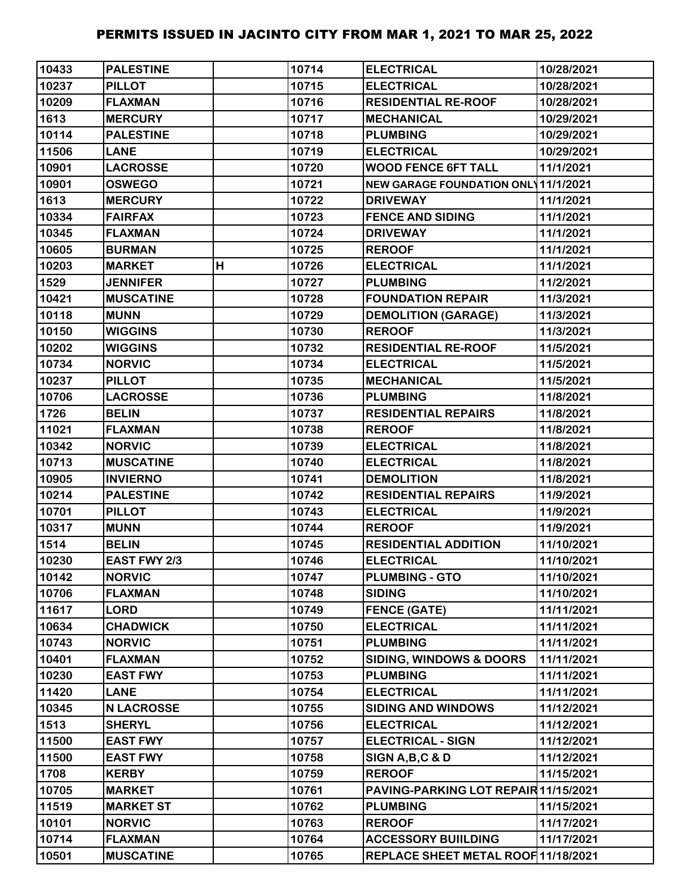| 10433 | <b>PALESTINE</b>    |   | 10714 | <b>ELECTRICAL</b>                          | 10/28/2021 |
|-------|---------------------|---|-------|--------------------------------------------|------------|
| 10237 | <b>PILLOT</b>       |   | 10715 | <b>ELECTRICAL</b>                          | 10/28/2021 |
| 10209 | <b>FLAXMAN</b>      |   | 10716 | <b>RESIDENTIAL RE-ROOF</b>                 | 10/28/2021 |
| 1613  | <b>MERCURY</b>      |   | 10717 | <b>MECHANICAL</b>                          | 10/29/2021 |
| 10114 | <b>PALESTINE</b>    |   | 10718 | <b>PLUMBING</b>                            | 10/29/2021 |
| 11506 | <b>LANE</b>         |   | 10719 | <b>ELECTRICAL</b>                          | 10/29/2021 |
| 10901 | <b>LACROSSE</b>     |   | 10720 | <b>WOOD FENCE 6FT TALL</b>                 | 11/1/2021  |
| 10901 | <b>OSWEGO</b>       |   | 10721 | <b>NEW GARAGE FOUNDATION ONL 11/1/2021</b> |            |
| 1613  | <b>MERCURY</b>      |   | 10722 | <b>DRIVEWAY</b>                            | 11/1/2021  |
| 10334 | <b>FAIRFAX</b>      |   | 10723 | <b>FENCE AND SIDING</b>                    | 11/1/2021  |
| 10345 | <b>FLAXMAN</b>      |   | 10724 | <b>DRIVEWAY</b>                            | 11/1/2021  |
| 10605 | <b>BURMAN</b>       |   | 10725 | <b>REROOF</b>                              | 11/1/2021  |
| 10203 | <b>MARKET</b>       | H | 10726 | <b>ELECTRICAL</b>                          | 11/1/2021  |
| 1529  | <b>JENNIFER</b>     |   | 10727 | <b>PLUMBING</b>                            | 11/2/2021  |
| 10421 | <b>MUSCATINE</b>    |   | 10728 | <b>FOUNDATION REPAIR</b>                   | 11/3/2021  |
| 10118 | <b>MUNN</b>         |   | 10729 | <b>DEMOLITION (GARAGE)</b>                 | 11/3/2021  |
| 10150 | <b>WIGGINS</b>      |   | 10730 | <b>REROOF</b>                              | 11/3/2021  |
| 10202 | <b>WIGGINS</b>      |   | 10732 | <b>RESIDENTIAL RE-ROOF</b>                 | 11/5/2021  |
| 10734 | <b>NORVIC</b>       |   | 10734 | <b>ELECTRICAL</b>                          | 11/5/2021  |
| 10237 | <b>PILLOT</b>       |   | 10735 | <b>MECHANICAL</b>                          | 11/5/2021  |
| 10706 | <b>LACROSSE</b>     |   | 10736 | <b>PLUMBING</b>                            | 11/8/2021  |
| 1726  | <b>BELIN</b>        |   | 10737 | <b>RESIDENTIAL REPAIRS</b>                 | 11/8/2021  |
| 11021 | <b>FLAXMAN</b>      |   | 10738 | <b>REROOF</b>                              | 11/8/2021  |
| 10342 | <b>NORVIC</b>       |   | 10739 | <b>ELECTRICAL</b>                          | 11/8/2021  |
| 10713 | <b>MUSCATINE</b>    |   | 10740 | <b>ELECTRICAL</b>                          | 11/8/2021  |
| 10905 | <b>INVIERNO</b>     |   | 10741 | <b>DEMOLITION</b>                          | 11/8/2021  |
| 10214 | <b>PALESTINE</b>    |   | 10742 | <b>RESIDENTIAL REPAIRS</b>                 | 11/9/2021  |
| 10701 | <b>PILLOT</b>       |   | 10743 | <b>ELECTRICAL</b>                          | 11/9/2021  |
| 10317 | <b>MUNN</b>         |   | 10744 | <b>REROOF</b>                              | 11/9/2021  |
| 1514  | <b>BELIN</b>        |   | 10745 | <b>RESIDENTIAL ADDITION</b>                | 11/10/2021 |
| 10230 | <b>EAST FWY 2/3</b> |   | 10746 | <b>ELECTRICAL</b>                          | 11/10/2021 |
| 10142 | <b>NORVIC</b>       |   | 10747 | <b>PLUMBING - GTO</b>                      | 11/10/2021 |
| 10706 | <b>FLAXMAN</b>      |   | 10748 | <b>SIDING</b>                              | 11/10/2021 |
| 11617 | <b>LORD</b>         |   | 10749 | <b>FENCE (GATE)</b>                        | 11/11/2021 |
| 10634 | <b>CHADWICK</b>     |   | 10750 | <b>ELECTRICAL</b>                          | 11/11/2021 |
| 10743 | <b>NORVIC</b>       |   | 10751 | <b>PLUMBING</b>                            | 11/11/2021 |
| 10401 | <b>FLAXMAN</b>      |   | 10752 | <b>SIDING, WINDOWS &amp; DOORS</b>         | 11/11/2021 |
| 10230 | <b>EAST FWY</b>     |   | 10753 | <b>PLUMBING</b>                            | 11/11/2021 |
| 11420 | <b>LANE</b>         |   | 10754 | <b>ELECTRICAL</b>                          | 11/11/2021 |
| 10345 | <b>N LACROSSE</b>   |   | 10755 | <b>SIDING AND WINDOWS</b>                  | 11/12/2021 |
| 1513  | <b>SHERYL</b>       |   | 10756 | <b>ELECTRICAL</b>                          | 11/12/2021 |
| 11500 | <b>EAST FWY</b>     |   | 10757 | <b>ELECTRICAL - SIGN</b>                   | 11/12/2021 |
| 11500 | <b>EAST FWY</b>     |   | 10758 | SIGN A, B, C & D                           | 11/12/2021 |
| 1708  | <b>KERBY</b>        |   | 10759 | <b>REROOF</b>                              | 11/15/2021 |
| 10705 | <b>MARKET</b>       |   | 10761 | PAVING-PARKING LOT REPAIR 11/15/2021       |            |
| 11519 | <b>MARKET ST</b>    |   | 10762 | <b>PLUMBING</b>                            | 11/15/2021 |
| 10101 | <b>NORVIC</b>       |   | 10763 | <b>REROOF</b>                              | 11/17/2021 |
| 10714 | <b>FLAXMAN</b>      |   | 10764 | <b>ACCESSORY BUIILDING</b>                 | 11/17/2021 |
| 10501 | <b>MUSCATINE</b>    |   | 10765 | REPLACE SHEET METAL ROOF 11/18/2021        |            |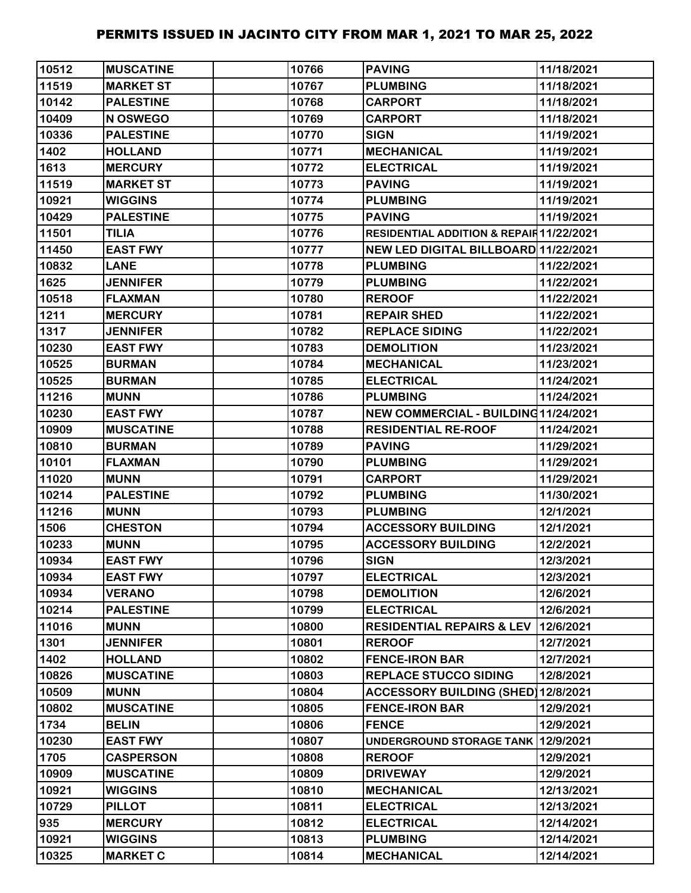| 10512 | <b>MUSCATINE</b> | 10766 | <b>PAVING</b>                            | 11/18/2021 |
|-------|------------------|-------|------------------------------------------|------------|
| 11519 | <b>MARKET ST</b> | 10767 | <b>PLUMBING</b>                          | 11/18/2021 |
| 10142 | <b>PALESTINE</b> | 10768 | <b>CARPORT</b>                           | 11/18/2021 |
| 10409 | N OSWEGO         | 10769 | <b>CARPORT</b>                           | 11/18/2021 |
| 10336 | <b>PALESTINE</b> | 10770 | <b>SIGN</b>                              | 11/19/2021 |
| 1402  | <b>HOLLAND</b>   | 10771 | <b>MECHANICAL</b>                        | 11/19/2021 |
| 1613  | <b>MERCURY</b>   | 10772 | <b>ELECTRICAL</b>                        | 11/19/2021 |
| 11519 | <b>MARKET ST</b> | 10773 | <b>PAVING</b>                            | 11/19/2021 |
| 10921 | <b>WIGGINS</b>   | 10774 | <b>PLUMBING</b>                          | 11/19/2021 |
| 10429 | <b>PALESTINE</b> | 10775 | <b>PAVING</b>                            | 11/19/2021 |
| 11501 | <b>TILIA</b>     | 10776 | RESIDENTIAL ADDITION & REPAIR 11/22/2021 |            |
| 11450 | <b>EAST FWY</b>  | 10777 | NEW LED DIGITAL BILLBOARD 11/22/2021     |            |
| 10832 | <b>LANE</b>      | 10778 | <b>PLUMBING</b>                          | 11/22/2021 |
| 1625  | <b>JENNIFER</b>  | 10779 | <b>PLUMBING</b>                          | 11/22/2021 |
| 10518 | <b>FLAXMAN</b>   | 10780 | <b>REROOF</b>                            | 11/22/2021 |
| 1211  | <b>MERCURY</b>   | 10781 | <b>REPAIR SHED</b>                       | 11/22/2021 |
| 1317  | <b>JENNIFER</b>  | 10782 | <b>REPLACE SIDING</b>                    | 11/22/2021 |
| 10230 | <b>EAST FWY</b>  | 10783 | <b>DEMOLITION</b>                        | 11/23/2021 |
| 10525 | <b>BURMAN</b>    | 10784 | <b>MECHANICAL</b>                        | 11/23/2021 |
| 10525 | <b>BURMAN</b>    | 10785 | <b>ELECTRICAL</b>                        | 11/24/2021 |
| 11216 | <b>MUNN</b>      | 10786 | <b>PLUMBING</b>                          | 11/24/2021 |
| 10230 | <b>EAST FWY</b>  | 10787 | NEW COMMERCIAL - BUILDING11/24/2021      |            |
| 10909 | <b>MUSCATINE</b> | 10788 | <b>RESIDENTIAL RE-ROOF</b>               | 11/24/2021 |
| 10810 | <b>BURMAN</b>    | 10789 | <b>PAVING</b>                            | 11/29/2021 |
| 10101 | <b>FLAXMAN</b>   | 10790 | <b>PLUMBING</b>                          | 11/29/2021 |
| 11020 | <b>MUNN</b>      | 10791 | <b>CARPORT</b>                           | 11/29/2021 |
| 10214 | <b>PALESTINE</b> | 10792 | <b>PLUMBING</b>                          | 11/30/2021 |
| 11216 | <b>MUNN</b>      | 10793 | <b>PLUMBING</b>                          | 12/1/2021  |
| 1506  | <b>CHESTON</b>   | 10794 | <b>ACCESSORY BUILDING</b>                | 12/1/2021  |
| 10233 | <b>MUNN</b>      | 10795 | <b>ACCESSORY BUILDING</b>                | 12/2/2021  |
| 10934 | <b>EAST FWY</b>  | 10796 | <b>SIGN</b>                              | 12/3/2021  |
| 10934 | <b>EAST FWY</b>  | 10797 | <b>ELECTRICAL</b>                        | 12/3/2021  |
| 10934 | <b>VERANO</b>    | 10798 | <b>DEMOLITION</b>                        | 12/6/2021  |
| 10214 | <b>PALESTINE</b> | 10799 | <b>ELECTRICAL</b>                        | 12/6/2021  |
| 11016 | <b>MUNN</b>      | 10800 | <b>RESIDENTIAL REPAIRS &amp; LEV</b>     | 12/6/2021  |
| 1301  | <b>JENNIFER</b>  | 10801 | <b>REROOF</b>                            | 12/7/2021  |
| 1402  | <b>HOLLAND</b>   | 10802 | <b>FENCE-IRON BAR</b>                    | 12/7/2021  |
| 10826 | <b>MUSCATINE</b> | 10803 | <b>REPLACE STUCCO SIDING</b>             | 12/8/2021  |
| 10509 | <b>MUNN</b>      | 10804 | ACCESSORY BUILDING (SHED) 12/8/2021      |            |
| 10802 | <b>MUSCATINE</b> | 10805 | <b>FENCE-IRON BAR</b>                    | 12/9/2021  |
| 1734  | <b>BELIN</b>     | 10806 | <b>FENCE</b>                             | 12/9/2021  |
| 10230 | <b>EAST FWY</b>  | 10807 | UNDERGROUND STORAGE TANK 12/9/2021       |            |
| 1705  | <b>CASPERSON</b> | 10808 | <b>REROOF</b>                            | 12/9/2021  |
| 10909 | <b>MUSCATINE</b> | 10809 | <b>DRIVEWAY</b>                          | 12/9/2021  |
| 10921 | <b>WIGGINS</b>   | 10810 | <b>MECHANICAL</b>                        | 12/13/2021 |
| 10729 | <b>PILLOT</b>    | 10811 | <b>ELECTRICAL</b>                        | 12/13/2021 |
| 935   | <b>MERCURY</b>   | 10812 | <b>ELECTRICAL</b>                        | 12/14/2021 |
| 10921 | <b>WIGGINS</b>   | 10813 | <b>PLUMBING</b>                          | 12/14/2021 |
| 10325 | <b>MARKET C</b>  | 10814 | <b>MECHANICAL</b>                        | 12/14/2021 |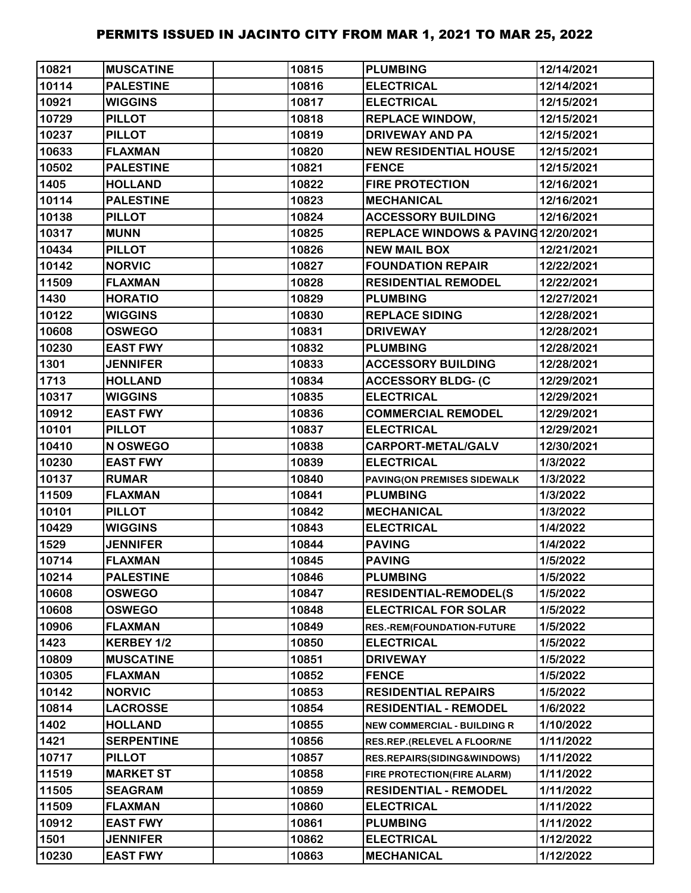| 10821 | <b>MUSCATINE</b>  | 10815 | <b>PLUMBING</b>                    | 12/14/2021 |
|-------|-------------------|-------|------------------------------------|------------|
| 10114 | <b>PALESTINE</b>  | 10816 | <b>ELECTRICAL</b>                  | 12/14/2021 |
| 10921 | <b>WIGGINS</b>    | 10817 | <b>ELECTRICAL</b>                  | 12/15/2021 |
| 10729 | <b>PILLOT</b>     | 10818 | <b>REPLACE WINDOW,</b>             | 12/15/2021 |
| 10237 | <b>PILLOT</b>     | 10819 | <b>DRIVEWAY AND PA</b>             | 12/15/2021 |
| 10633 | <b>FLAXMAN</b>    | 10820 | <b>NEW RESIDENTIAL HOUSE</b>       | 12/15/2021 |
| 10502 | <b>PALESTINE</b>  | 10821 | <b>FENCE</b>                       | 12/15/2021 |
| 1405  | <b>HOLLAND</b>    | 10822 | <b>FIRE PROTECTION</b>             | 12/16/2021 |
| 10114 | <b>PALESTINE</b>  | 10823 | <b>MECHANICAL</b>                  | 12/16/2021 |
| 10138 | <b>PILLOT</b>     | 10824 | <b>ACCESSORY BUILDING</b>          | 12/16/2021 |
| 10317 | <b>MUNN</b>       | 10825 | REPLACE WINDOWS & PAVING12/20/2021 |            |
| 10434 | <b>PILLOT</b>     | 10826 | <b>NEW MAIL BOX</b>                | 12/21/2021 |
| 10142 | <b>NORVIC</b>     | 10827 | <b>FOUNDATION REPAIR</b>           | 12/22/2021 |
| 11509 | <b>FLAXMAN</b>    | 10828 | <b>RESIDENTIAL REMODEL</b>         | 12/22/2021 |
| 1430  | <b>HORATIO</b>    | 10829 | <b>PLUMBING</b>                    | 12/27/2021 |
| 10122 | <b>WIGGINS</b>    | 10830 | <b>REPLACE SIDING</b>              | 12/28/2021 |
| 10608 | <b>OSWEGO</b>     | 10831 | <b>DRIVEWAY</b>                    | 12/28/2021 |
| 10230 | <b>EAST FWY</b>   | 10832 | <b>PLUMBING</b>                    | 12/28/2021 |
| 1301  | <b>JENNIFER</b>   | 10833 | <b>ACCESSORY BUILDING</b>          | 12/28/2021 |
| 1713  | <b>HOLLAND</b>    | 10834 | <b>ACCESSORY BLDG- (C</b>          | 12/29/2021 |
| 10317 | <b>WIGGINS</b>    | 10835 | <b>ELECTRICAL</b>                  | 12/29/2021 |
| 10912 | <b>EAST FWY</b>   | 10836 | <b>COMMERCIAL REMODEL</b>          | 12/29/2021 |
| 10101 | <b>PILLOT</b>     | 10837 | <b>ELECTRICAL</b>                  | 12/29/2021 |
| 10410 | N OSWEGO          | 10838 | CARPORT-METAL/GALV                 | 12/30/2021 |
| 10230 | <b>EAST FWY</b>   | 10839 | <b>ELECTRICAL</b>                  | 1/3/2022   |
| 10137 | <b>RUMAR</b>      | 10840 | PAVING(ON PREMISES SIDEWALK        | 1/3/2022   |
| 11509 | <b>FLAXMAN</b>    | 10841 | <b>PLUMBING</b>                    | 1/3/2022   |
| 10101 | <b>PILLOT</b>     | 10842 | <b>MECHANICAL</b>                  | 1/3/2022   |
| 10429 | <b>WIGGINS</b>    | 10843 | <b>ELECTRICAL</b>                  | 1/4/2022   |
| 1529  | <b>JENNIFER</b>   | 10844 | <b>PAVING</b>                      | 1/4/2022   |
| 10714 | <b>FLAXMAN</b>    | 10845 | <b>PAVING</b>                      | 1/5/2022   |
| 10214 | <b>PALESTINE</b>  | 10846 | <b>PLUMBING</b>                    | 1/5/2022   |
| 10608 | <b>OSWEGO</b>     | 10847 | <b>RESIDENTIAL-REMODEL(S</b>       | 1/5/2022   |
| 10608 | <b>OSWEGO</b>     | 10848 | <b>ELECTRICAL FOR SOLAR</b>        | 1/5/2022   |
| 10906 | <b>FLAXMAN</b>    | 10849 | <b>RES.-REM(FOUNDATION-FUTURE</b>  | 1/5/2022   |
| 1423  | KERBEY 1/2        | 10850 | <b>ELECTRICAL</b>                  | 1/5/2022   |
| 10809 | <b>MUSCATINE</b>  | 10851 | <b>DRIVEWAY</b>                    | 1/5/2022   |
| 10305 | <b>FLAXMAN</b>    | 10852 | <b>FENCE</b>                       | 1/5/2022   |
| 10142 | <b>NORVIC</b>     | 10853 | <b>RESIDENTIAL REPAIRS</b>         | 1/5/2022   |
| 10814 | <b>LACROSSE</b>   | 10854 | <b>RESIDENTIAL - REMODEL</b>       | 1/6/2022   |
| 1402  | <b>HOLLAND</b>    | 10855 | <b>NEW COMMERCIAL - BUILDING R</b> | 1/10/2022  |
| 1421  | <b>SERPENTINE</b> | 10856 | RES.REP.(RELEVEL A FLOOR/NE        | 1/11/2022  |
| 10717 | <b>PILLOT</b>     | 10857 | RES.REPAIRS(SIDING&WINDOWS)        | 1/11/2022  |
| 11519 | <b>MARKET ST</b>  | 10858 | FIRE PROTECTION(FIRE ALARM)        | 1/11/2022  |
| 11505 | <b>SEAGRAM</b>    | 10859 | <b>RESIDENTIAL - REMODEL</b>       | 1/11/2022  |
| 11509 | <b>FLAXMAN</b>    | 10860 | <b>ELECTRICAL</b>                  | 1/11/2022  |
| 10912 | <b>EAST FWY</b>   | 10861 | <b>PLUMBING</b>                    | 1/11/2022  |
| 1501  | <b>JENNIFER</b>   | 10862 | <b>ELECTRICAL</b>                  | 1/12/2022  |
| 10230 | <b>EAST FWY</b>   | 10863 | <b>MECHANICAL</b>                  | 1/12/2022  |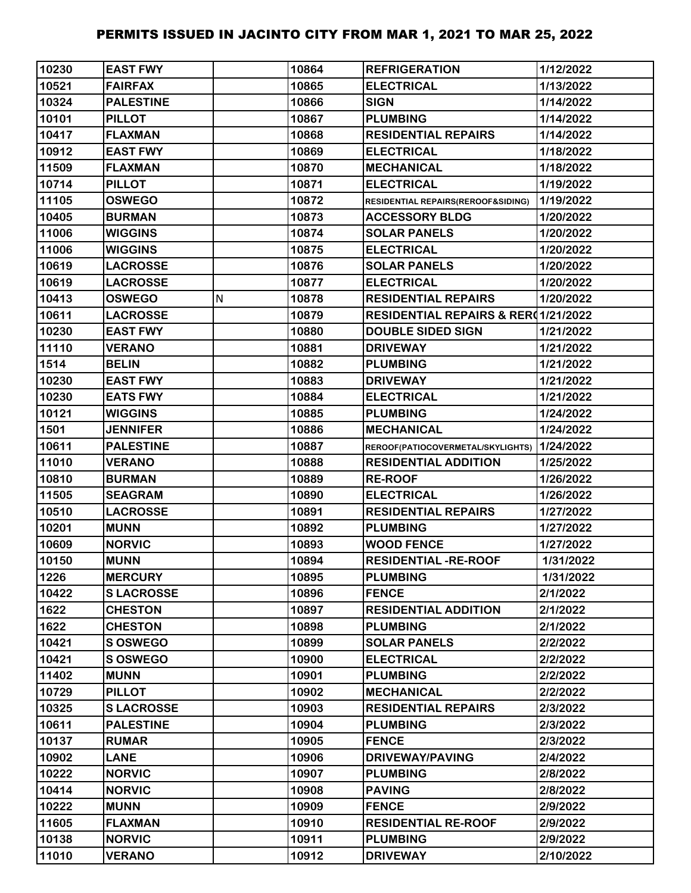| 10230 | <b>EAST FWY</b>  |   | 10864 | <b>REFRIGERATION</b>                           | 1/12/2022 |
|-------|------------------|---|-------|------------------------------------------------|-----------|
| 10521 | <b>FAIRFAX</b>   |   | 10865 | <b>ELECTRICAL</b>                              | 1/13/2022 |
| 10324 | <b>PALESTINE</b> |   | 10866 | <b>SIGN</b>                                    | 1/14/2022 |
| 10101 | <b>PILLOT</b>    |   | 10867 | <b>PLUMBING</b>                                | 1/14/2022 |
| 10417 | <b>FLAXMAN</b>   |   | 10868 | <b>RESIDENTIAL REPAIRS</b>                     | 1/14/2022 |
| 10912 | <b>EAST FWY</b>  |   | 10869 | <b>ELECTRICAL</b>                              | 1/18/2022 |
| 11509 | <b>FLAXMAN</b>   |   | 10870 | <b>MECHANICAL</b>                              | 1/18/2022 |
| 10714 | <b>PILLOT</b>    |   | 10871 | <b>ELECTRICAL</b>                              | 1/19/2022 |
| 11105 | <b>OSWEGO</b>    |   | 10872 | RESIDENTIAL REPAIRS(REROOF&SIDING)             | 1/19/2022 |
| 10405 | <b>BURMAN</b>    |   | 10873 | <b>ACCESSORY BLDG</b>                          | 1/20/2022 |
| 11006 | <b>WIGGINS</b>   |   | 10874 | <b>SOLAR PANELS</b>                            | 1/20/2022 |
| 11006 | <b>WIGGINS</b>   |   | 10875 | <b>ELECTRICAL</b>                              | 1/20/2022 |
| 10619 | <b>LACROSSE</b>  |   | 10876 | <b>SOLAR PANELS</b>                            | 1/20/2022 |
| 10619 | <b>LACROSSE</b>  |   | 10877 | <b>ELECTRICAL</b>                              | 1/20/2022 |
| 10413 | <b>OSWEGO</b>    | N | 10878 | <b>RESIDENTIAL REPAIRS</b>                     | 1/20/2022 |
| 10611 | <b>LACROSSE</b>  |   | 10879 | <b>RESIDENTIAL REPAIRS &amp; RER01/21/2022</b> |           |
| 10230 | <b>EAST FWY</b>  |   | 10880 | <b>DOUBLE SIDED SIGN</b>                       | 1/21/2022 |
| 11110 | <b>VERANO</b>    |   | 10881 | <b>DRIVEWAY</b>                                | 1/21/2022 |
| 1514  | <b>BELIN</b>     |   | 10882 | <b>PLUMBING</b>                                | 1/21/2022 |
| 10230 | <b>EAST FWY</b>  |   | 10883 | <b>DRIVEWAY</b>                                | 1/21/2022 |
| 10230 | <b>EATS FWY</b>  |   | 10884 | <b>ELECTRICAL</b>                              | 1/21/2022 |
| 10121 | <b>WIGGINS</b>   |   | 10885 | <b>PLUMBING</b>                                | 1/24/2022 |
| 1501  | <b>JENNIFER</b>  |   | 10886 | <b>MECHANICAL</b>                              | 1/24/2022 |
| 10611 | <b>PALESTINE</b> |   | 10887 | REROOF(PATIOCOVERMETAL/SKYLIGHTS) 1/24/2022    |           |
| 11010 | <b>VERANO</b>    |   | 10888 | <b>RESIDENTIAL ADDITION</b>                    | 1/25/2022 |
| 10810 | <b>BURMAN</b>    |   | 10889 | <b>RE-ROOF</b>                                 | 1/26/2022 |
| 11505 | <b>SEAGRAM</b>   |   | 10890 | <b>ELECTRICAL</b>                              | 1/26/2022 |
| 10510 | <b>LACROSSE</b>  |   | 10891 | <b>RESIDENTIAL REPAIRS</b>                     | 1/27/2022 |
| 10201 | <b>MUNN</b>      |   | 10892 | <b>PLUMBING</b>                                | 1/27/2022 |
| 10609 | <b>NORVIC</b>    |   | 10893 | <b>WOOD FENCE</b>                              | 1/27/2022 |
| 10150 | <b>MUNN</b>      |   | 10894 | <b>RESIDENTIAL -RE-ROOF</b>                    | 1/31/2022 |
| 1226  | <b>MERCURY</b>   |   | 10895 | <b>PLUMBING</b>                                | 1/31/2022 |
| 10422 | <b>SLACROSSE</b> |   | 10896 | <b>FENCE</b>                                   | 2/1/2022  |
| 1622  | <b>CHESTON</b>   |   | 10897 | <b>RESIDENTIAL ADDITION</b>                    | 2/1/2022  |
| 1622  | <b>CHESTON</b>   |   | 10898 | <b>PLUMBING</b>                                | 2/1/2022  |
| 10421 | <b>SOSWEGO</b>   |   | 10899 | <b>SOLAR PANELS</b>                            | 2/2/2022  |
| 10421 | S OSWEGO         |   | 10900 | <b>ELECTRICAL</b>                              | 2/2/2022  |
| 11402 | <b>MUNN</b>      |   | 10901 | <b>PLUMBING</b>                                | 2/2/2022  |
| 10729 | <b>PILLOT</b>    |   | 10902 | <b>MECHANICAL</b>                              | 2/2/2022  |
| 10325 | <b>SLACROSSE</b> |   | 10903 | <b>RESIDENTIAL REPAIRS</b>                     | 2/3/2022  |
| 10611 | <b>PALESTINE</b> |   | 10904 | <b>PLUMBING</b>                                | 2/3/2022  |
| 10137 | <b>RUMAR</b>     |   | 10905 | <b>FENCE</b>                                   | 2/3/2022  |
| 10902 | <b>LANE</b>      |   | 10906 | <b>DRIVEWAY/PAVING</b>                         | 2/4/2022  |
| 10222 | <b>NORVIC</b>    |   | 10907 | <b>PLUMBING</b>                                | 2/8/2022  |
| 10414 | <b>NORVIC</b>    |   | 10908 | <b>PAVING</b>                                  | 2/8/2022  |
| 10222 | <b>MUNN</b>      |   | 10909 | <b>FENCE</b>                                   | 2/9/2022  |
| 11605 | <b>FLAXMAN</b>   |   | 10910 | <b>RESIDENTIAL RE-ROOF</b>                     | 2/9/2022  |
| 10138 | <b>NORVIC</b>    |   | 10911 | <b>PLUMBING</b>                                | 2/9/2022  |
| 11010 | <b>VERANO</b>    |   | 10912 | <b>DRIVEWAY</b>                                | 2/10/2022 |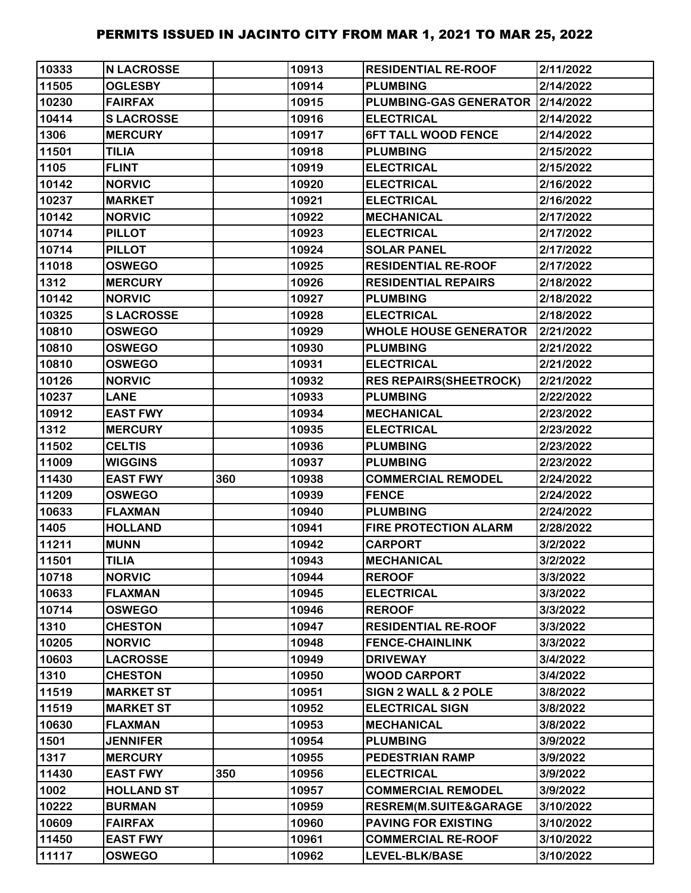| 10333 | <b>N LACROSSE</b> |     | 10913 | <b>RESIDENTIAL RE-ROOF</b>       | 2/11/2022 |
|-------|-------------------|-----|-------|----------------------------------|-----------|
| 11505 | <b>OGLESBY</b>    |     | 10914 | <b>PLUMBING</b>                  | 2/14/2022 |
| 10230 | <b>FAIRFAX</b>    |     | 10915 | PLUMBING-GAS GENERATOR 2/14/2022 |           |
| 10414 | <b>SLACROSSE</b>  |     | 10916 | <b>ELECTRICAL</b>                | 2/14/2022 |
| 1306  | <b>MERCURY</b>    |     | 10917 | <b>6FT TALL WOOD FENCE</b>       | 2/14/2022 |
| 11501 | <b>TILIA</b>      |     | 10918 | <b>PLUMBING</b>                  | 2/15/2022 |
| 1105  | <b>FLINT</b>      |     | 10919 | <b>ELECTRICAL</b>                | 2/15/2022 |
| 10142 | <b>NORVIC</b>     |     | 10920 | <b>ELECTRICAL</b>                | 2/16/2022 |
| 10237 | <b>MARKET</b>     |     | 10921 | <b>ELECTRICAL</b>                | 2/16/2022 |
| 10142 | <b>NORVIC</b>     |     | 10922 | <b>MECHANICAL</b>                | 2/17/2022 |
| 10714 | <b>PILLOT</b>     |     | 10923 | <b>ELECTRICAL</b>                | 2/17/2022 |
| 10714 | <b>PILLOT</b>     |     | 10924 | <b>SOLAR PANEL</b>               | 2/17/2022 |
| 11018 | <b>OSWEGO</b>     |     | 10925 | <b>RESIDENTIAL RE-ROOF</b>       | 2/17/2022 |
| 1312  | <b>MERCURY</b>    |     | 10926 | <b>RESIDENTIAL REPAIRS</b>       | 2/18/2022 |
| 10142 | <b>NORVIC</b>     |     | 10927 | <b>PLUMBING</b>                  | 2/18/2022 |
| 10325 | <b>SLACROSSE</b>  |     | 10928 | <b>ELECTRICAL</b>                | 2/18/2022 |
| 10810 | <b>OSWEGO</b>     |     | 10929 | <b>WHOLE HOUSE GENERATOR</b>     | 2/21/2022 |
| 10810 | <b>OSWEGO</b>     |     | 10930 | <b>PLUMBING</b>                  | 2/21/2022 |
| 10810 | <b>OSWEGO</b>     |     | 10931 | <b>ELECTRICAL</b>                | 2/21/2022 |
| 10126 | <b>NORVIC</b>     |     | 10932 | <b>RES REPAIRS (SHEETROCK)</b>   | 2/21/2022 |
| 10237 | <b>LANE</b>       |     | 10933 | <b>PLUMBING</b>                  | 2/22/2022 |
| 10912 | <b>EAST FWY</b>   |     | 10934 | <b>MECHANICAL</b>                | 2/23/2022 |
| 1312  | <b>MERCURY</b>    |     | 10935 | <b>ELECTRICAL</b>                | 2/23/2022 |
| 11502 | <b>CELTIS</b>     |     | 10936 | <b>PLUMBING</b>                  | 2/23/2022 |
| 11009 | <b>WIGGINS</b>    |     | 10937 | <b>PLUMBING</b>                  | 2/23/2022 |
| 11430 | <b>EAST FWY</b>   | 360 | 10938 | <b>COMMERCIAL REMODEL</b>        | 2/24/2022 |
| 11209 | <b>OSWEGO</b>     |     | 10939 | <b>FENCE</b>                     | 2/24/2022 |
| 10633 | <b>FLAXMAN</b>    |     | 10940 | <b>PLUMBING</b>                  | 2/24/2022 |
| 1405  | <b>HOLLAND</b>    |     | 10941 | <b>FIRE PROTECTION ALARM</b>     | 2/28/2022 |
| 11211 | <b>MUNN</b>       |     | 10942 | <b>CARPORT</b>                   | 3/2/2022  |
| 11501 | <b>TILIA</b>      |     | 10943 | <b>MECHANICAL</b>                | 3/2/2022  |
| 10718 | <b>NORVIC</b>     |     | 10944 | <b>REROOF</b>                    | 3/3/2022  |
| 10633 | <b>FLAXMAN</b>    |     | 10945 | <b>ELECTRICAL</b>                | 3/3/2022  |
| 10714 | <b>OSWEGO</b>     |     | 10946 | <b>REROOF</b>                    | 3/3/2022  |
| 1310  | <b>CHESTON</b>    |     | 10947 | <b>RESIDENTIAL RE-ROOF</b>       | 3/3/2022  |
| 10205 | <b>NORVIC</b>     |     | 10948 | <b>FENCE-CHAINLINK</b>           | 3/3/2022  |
| 10603 | <b>LACROSSE</b>   |     | 10949 | <b>DRIVEWAY</b>                  | 3/4/2022  |
| 1310  | <b>CHESTON</b>    |     | 10950 | <b>WOOD CARPORT</b>              | 3/4/2022  |
| 11519 | <b>MARKET ST</b>  |     | 10951 | SIGN 2 WALL & 2 POLE             | 3/8/2022  |
| 11519 | <b>MARKET ST</b>  |     | 10952 | <b>ELECTRICAL SIGN</b>           | 3/8/2022  |
| 10630 | <b>FLAXMAN</b>    |     | 10953 | <b>MECHANICAL</b>                | 3/8/2022  |
| 1501  | <b>JENNIFER</b>   |     | 10954 | <b>PLUMBING</b>                  | 3/9/2022  |
| 1317  | <b>MERCURY</b>    |     | 10955 | <b>PEDESTRIAN RAMP</b>           | 3/9/2022  |
| 11430 | <b>EAST FWY</b>   | 350 | 10956 | <b>ELECTRICAL</b>                | 3/9/2022  |
| 1002  | <b>HOLLAND ST</b> |     | 10957 | <b>COMMERCIAL REMODEL</b>        | 3/9/2022  |
| 10222 | <b>BURMAN</b>     |     | 10959 | RESREM(M.SUITE&GARAGE            | 3/10/2022 |
| 10609 | <b>FAIRFAX</b>    |     | 10960 | <b>PAVING FOR EXISTING</b>       | 3/10/2022 |
| 11450 | <b>EAST FWY</b>   |     | 10961 | <b>COMMERCIAL RE-ROOF</b>        | 3/10/2022 |
| 11117 | <b>OSWEGO</b>     |     | 10962 | LEVEL-BLK/BASE                   | 3/10/2022 |